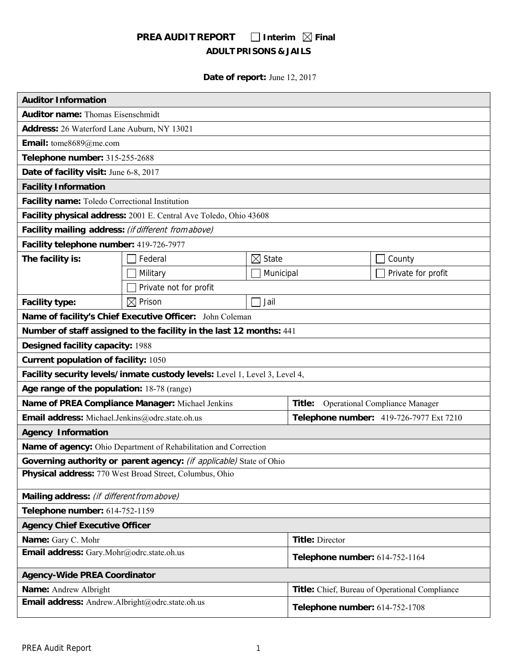# **PREA AUDIT REPORT**  $\Box$  Interim  $\boxtimes$  Final **ADULT PRISONS & JAILS**

**Date of report:** June 12, 2017

| <b>Auditor Information</b>                          |                                                                            |                   |                                         |                                                |
|-----------------------------------------------------|----------------------------------------------------------------------------|-------------------|-----------------------------------------|------------------------------------------------|
| <b>Auditor name: Thomas Eisenschmidt</b>            |                                                                            |                   |                                         |                                                |
| Address: 26 Waterford Lane Auburn, NY 13021         |                                                                            |                   |                                         |                                                |
| Email: tome8689@me.com                              |                                                                            |                   |                                         |                                                |
| Telephone number: 315-255-2688                      |                                                                            |                   |                                         |                                                |
| Date of facility visit: June 6-8, 2017              |                                                                            |                   |                                         |                                                |
| <b>Facility Information</b>                         |                                                                            |                   |                                         |                                                |
| Facility name: Toledo Correctional Institution      |                                                                            |                   |                                         |                                                |
|                                                     | Facility physical address: 2001 E. Central Ave Toledo, Ohio 43608          |                   |                                         |                                                |
| Facility mailing address: (if different from above) |                                                                            |                   |                                         |                                                |
| Facility telephone number: 419-726-7977             |                                                                            |                   |                                         |                                                |
| The facility is:                                    | Federal                                                                    | $\boxtimes$ State |                                         | County                                         |
|                                                     | Military                                                                   | Municipal         |                                         | Private for profit                             |
|                                                     | Private not for profit                                                     |                   |                                         |                                                |
| <b>Facility type:</b>                               | $\boxtimes$ Prison                                                         | Jail              |                                         |                                                |
|                                                     | Name of facility's Chief Executive Officer: John Coleman                   |                   |                                         |                                                |
|                                                     | Number of staff assigned to the facility in the last 12 months: 441        |                   |                                         |                                                |
| <b>Designed facility capacity: 1988</b>             |                                                                            |                   |                                         |                                                |
| <b>Current population of facility: 1050</b>         |                                                                            |                   |                                         |                                                |
|                                                     | Facility security levels/inmate custody levels: Level 1, Level 3, Level 4, |                   |                                         |                                                |
| Age range of the population: 18-78 (range)          |                                                                            |                   |                                         |                                                |
|                                                     | Name of PREA Compliance Manager: Michael Jenkins                           |                   | Title:                                  | <b>Operational Compliance Manager</b>          |
| Email address: Michael.Jenkins@odrc.state.oh.us     |                                                                            |                   | Telephone number: 419-726-7977 Ext 7210 |                                                |
| <b>Agency Information</b>                           |                                                                            |                   |                                         |                                                |
|                                                     | Name of agency: Ohio Department of Rehabilitation and Correction           |                   |                                         |                                                |
|                                                     | Governing authority or parent agency: (if applicable) State of Ohio        |                   |                                         |                                                |
|                                                     | Physical address: 770 West Broad Street, Columbus, Ohio                    |                   |                                         |                                                |
| Mailing address: (if different from above)          |                                                                            |                   |                                         |                                                |
| Telephone number: 614-752-1159                      |                                                                            |                   |                                         |                                                |
| <b>Agency Chief Executive Officer</b>               |                                                                            |                   |                                         |                                                |
| Name: Gary C. Mohr                                  |                                                                            |                   | <b>Title: Director</b>                  |                                                |
| Email address: Gary.Mohr@odrc.state.oh.us           |                                                                            |                   | Telephone number: 614-752-1164          |                                                |
| <b>Agency-Wide PREA Coordinator</b>                 |                                                                            |                   |                                         |                                                |
| Name: Andrew Albright                               |                                                                            |                   |                                         | Title: Chief, Bureau of Operational Compliance |
| Email address: Andrew.Albright@odrc.state.oh.us     |                                                                            |                   | Telephone number: 614-752-1708          |                                                |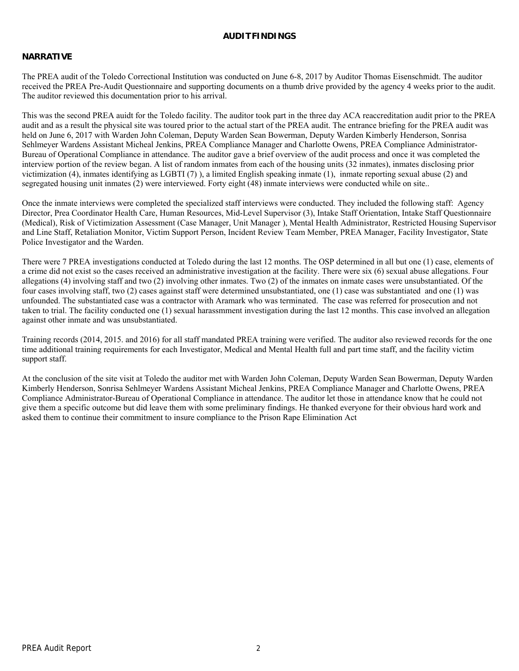## **AUDIT FINDINGS**

## **NARRATIVE**

The PREA audit of the Toledo Correctional Institution was conducted on June 6-8, 2017 by Auditor Thomas Eisenschmidt. The auditor received the PREA Pre-Audit Questionnaire and supporting documents on a thumb drive provided by the agency 4 weeks prior to the audit. The auditor reviewed this documentation prior to his arrival.

This was the second PREA auidt for the Toledo facility. The auditor took part in the three day ACA reaccreditation audit prior to the PREA audit and as a result the physical site was toured prior to the actual start of the PREA audit. The entrance briefing for the PREA audit was held on June 6, 2017 with Warden John Coleman, Deputy Warden Sean Bowerman, Deputy Warden Kimberly Henderson, Sonrisa Sehlmeyer Wardens Assistant Micheal Jenkins, PREA Compliance Manager and Charlotte Owens, PREA Compliance Administrator-Bureau of Operational Compliance in attendance. The auditor gave a brief overview of the audit process and once it was completed the interview portion of the review began. A list of random inmates from each of the housing units (32 inmates), inmates disclosing prior victimization (4), inmates identifying as LGBTI (7) ), a limited English speaking inmate (1), inmate reporting sexual abuse (2) and segregated housing unit inmates (2) were interviewed. Forty eight (48) inmate interviews were conducted while on site..

Once the inmate interviews were completed the specialized staff interviews were conducted. They included the following staff: Agency Director, Prea Coordinator Health Care, Human Resources, Mid-Level Supervisor (3), Intake Staff Orientation, Intake Staff Questionnaire (Medical), Risk of Victimization Assessment (Case Manager, Unit Manager ), Mental Health Administrator, Restricted Housing Supervisor and Line Staff, Retaliation Monitor, Victim Support Person, Incident Review Team Member, PREA Manager, Facility Investigator, State Police Investigator and the Warden.

There were 7 PREA investigations conducted at Toledo during the last 12 months. The OSP determined in all but one (1) case, elements of a crime did not exist so the cases received an administrative investigation at the facility. There were six (6) sexual abuse allegations. Four allegations (4) involving staff and two (2) involving other inmates. Two (2) of the inmates on inmate cases were unsubstantiated. Of the four cases involving staff, two (2) cases against staff were determined unsubstantiated, one (1) case was substantiated and one (1) was unfounded. The substantiated case was a contractor with Aramark who was terminated. The case was referred for prosecution and not taken to trial. The facility conducted one (1) sexual harassmment investigation during the last 12 months. This case involved an allegation against other inmate and was unsubstantiated.

Training records (2014, 2015. and 2016) for all staff mandated PREA training were verified. The auditor also reviewed records for the one time additional training requirements for each Investigator, Medical and Mental Health full and part time staff, and the facility victim support staff.

At the conclusion of the site visit at Toledo the auditor met with Warden John Coleman, Deputy Warden Sean Bowerman, Deputy Warden Kimberly Henderson, Sonrisa Sehlmeyer Wardens Assistant Micheal Jenkins, PREA Compliance Manager and Charlotte Owens, PREA Compliance Administrator-Bureau of Operational Compliance in attendance. The auditor let those in attendance know that he could not give them a specific outcome but did leave them with some preliminary findings. He thanked everyone for their obvious hard work and asked them to continue their commitment to insure compliance to the Prison Rape Elimination Act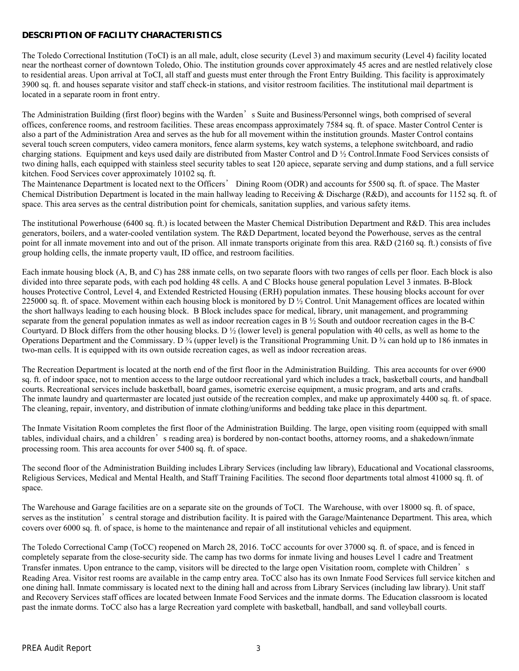# **DESCRIPTION OF FACILITY CHARACTERISTICS**

The Toledo Correctional Institution (ToCI) is an all male, adult, close security (Level 3) and maximum security (Level 4) facility located near the northeast corner of downtown Toledo, Ohio. The institution grounds cover approximately 45 acres and are nestled relatively close to residential areas. Upon arrival at ToCI, all staff and guests must enter through the Front Entry Building. This facility is approximately 3900 sq. ft. and houses separate visitor and staff check-in stations, and visitor restroom facilities. The institutional mail department is located in a separate room in front entry.

The Administration Building (first floor) begins with the Warden's Suite and Business/Personnel wings, both comprised of several offices, conference rooms, and restroom facilities. These areas encompass approximately 7584 sq. ft. of space. Master Control Center is also a part of the Administration Area and serves as the hub for all movement within the institution grounds. Master Control contains several touch screen computers, video camera monitors, fence alarm systems, key watch systems, a telephone switchboard, and radio charging stations. Equipment and keys used daily are distributed from Master Control and D ½ Control.Inmate Food Services consists of two dining halls, each equipped with stainless steel security tables to seat 120 apiece, separate serving and dump stations, and a full service kitchen. Food Services cover approximately 10102 sq. ft.

The Maintenance Department is located next to the Officers' Dining Room (ODR) and accounts for 5500 sq. ft. of space. The Master Chemical Distribution Department is located in the main hallway leading to Receiving & Discharge (R&D), and accounts for 1152 sq. ft. of space. This area serves as the central distribution point for chemicals, sanitation supplies, and various safety items.

The institutional Powerhouse (6400 sq. ft.) is located between the Master Chemical Distribution Department and R&D. This area includes generators, boilers, and a water-cooled ventilation system. The R&D Department, located beyond the Powerhouse, serves as the central point for all inmate movement into and out of the prison. All inmate transports originate from this area. R&D (2160 sq. ft.) consists of five group holding cells, the inmate property vault, ID office, and restroom facilities.

Each inmate housing block (A, B, and C) has 288 inmate cells, on two separate floors with two ranges of cells per floor. Each block is also divided into three separate pods, with each pod holding 48 cells. A and C Blocks house general population Level 3 inmates. B-Block houses Protective Control, Level 4, and Extended Restricted Housing (ERH) population inmates. These housing blocks account for over 225000 sq. ft. of space. Movement within each housing block is monitored by  $D \frac{1}{2}$  Control. Unit Management offices are located within the short hallways leading to each housing block. B Block includes space for medical, library, unit management, and programming separate from the general population inmates as well as indoor recreation cages in B ½ South and outdoor recreation cages in the B-C Courtyard. D Block differs from the other housing blocks. D  $\frac{1}{2}$  (lower level) is general population with 40 cells, as well as home to the Operations Department and the Commissary. D ¾ (upper level) is the Transitional Programming Unit. D ¾ can hold up to 186 inmates in two-man cells. It is equipped with its own outside recreation cages, as well as indoor recreation areas.

The Recreation Department is located at the north end of the first floor in the Administration Building. This area accounts for over 6900 sq. ft. of indoor space, not to mention access to the large outdoor recreational yard which includes a track, basketball courts, and handball courts. Recreational services include basketball, board games, isometric exercise equipment, a music program, and arts and crafts. The inmate laundry and quartermaster are located just outside of the recreation complex, and make up approximately 4400 sq. ft. of space. The cleaning, repair, inventory, and distribution of inmate clothing/uniforms and bedding take place in this department.

The Inmate Visitation Room completes the first floor of the Administration Building. The large, open visiting room (equipped with small tables, individual chairs, and a children's reading area) is bordered by non-contact booths, attorney rooms, and a shakedown/inmate processing room. This area accounts for over 5400 sq. ft. of space.

The second floor of the Administration Building includes Library Services (including law library), Educational and Vocational classrooms, Religious Services, Medical and Mental Health, and Staff Training Facilities. The second floor departments total almost 41000 sq. ft. of space.

The Warehouse and Garage facilities are on a separate site on the grounds of ToCI. The Warehouse, with over 18000 sq. ft. of space, serves as the institution's central storage and distribution facility. It is paired with the Garage/Maintenance Department. This area, which covers over 6000 sq. ft. of space, is home to the maintenance and repair of all institutional vehicles and equipment.

The Toledo Correctional Camp (ToCC) reopened on March 28, 2016. ToCC accounts for over 37000 sq. ft. of space, and is fenced in completely separate from the close-security side. The camp has two dorms for inmate living and houses Level 1 cadre and Treatment Transfer inmates. Upon entrance to the camp, visitors will be directed to the large open Visitation room, complete with Children's Reading Area. Visitor rest rooms are available in the camp entry area. ToCC also has its own Inmate Food Services full service kitchen and one dining hall. Inmate commissary is located next to the dining hall and across from Library Services (including law library). Unit staff and Recovery Services staff offices are located between Inmate Food Services and the inmate dorms. The Education classroom is located past the inmate dorms. ToCC also has a large Recreation yard complete with basketball, handball, and sand volleyball courts.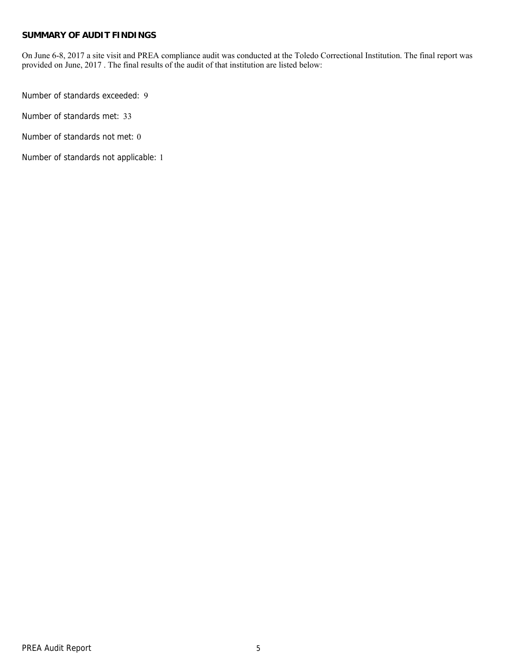## **SUMMARY OF AUDIT FINDINGS**

On June 6-8, 2017 a site visit and PREA compliance audit was conducted at the Toledo Correctional Institution. The final report was provided on June, 2017 . The final results of the audit of that institution are listed below:

Number of standards exceeded: 9

Number of standards met: 33

Number of standards not met: 0

Number of standards not applicable: 1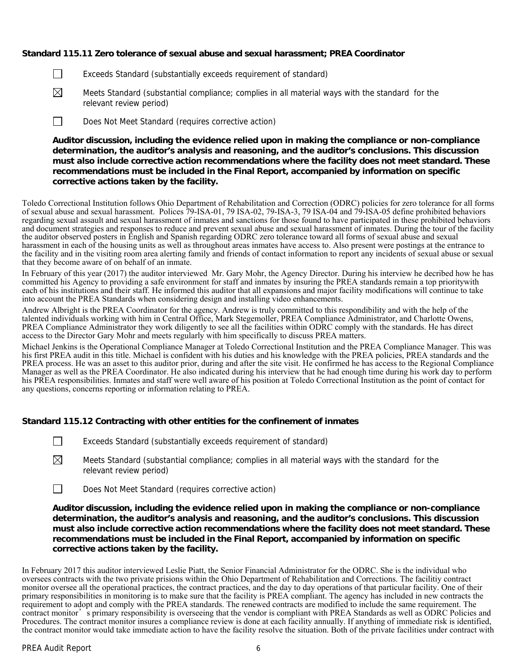## **Standard 115.11 Zero tolerance of sexual abuse and sexual harassment; PREA Coordinator**

- $\Box$  Exceeds Standard (substantially exceeds requirement of standard)
- $\boxtimes$  Meets Standard (substantial compliance; complies in all material ways with the standard for the relevant review period)
- Does Not Meet Standard (requires corrective action)

**Auditor discussion, including the evidence relied upon in making the compliance or non-compliance determination, the auditor's analysis and reasoning, and the auditor's conclusions. This discussion must also include corrective action recommendations where the facility does not meet standard. These recommendations must be included in the Final Report, accompanied by information on specific corrective actions taken by the facility.**

Toledo Correctional Institution follows Ohio Department of Rehabilitation and Correction (ODRC) policies for zero tolerance for all forms of sexual abuse and sexual harassment. Polices 79-ISA-01, 79 ISA-02, 79-ISA-3, 79 ISA-04 and 79-ISA-05 define prohibited behaviors regarding sexual assault and sexual harassment of inmates and sanctions for those found to have participated in these prohibited behaviors and document strategies and responses to reduce and prevent sexual abuse and sexual harassment of inmates. During the tour of the facility the auditor observed posters in English and Spanish regarding ODRC zero tolerance toward all forms of sexual abuse and sexual harassment in each of the housing units as well as throughout areas inmates have access to. Also present were postings at the entrance to the facility and in the visiting room area alerting family and friends of contact information to report any incidents of sexual abuse or sexual that they become aware of on behalf of an inmate.

In February of this year (2017) the auditor interviewed Mr. Gary Mohr, the Agency Director. During his interview he decribed how he has committed his Agency to providing a safe environment for staff and inmates by insuring the PREA standards remain a top prioritywith each of his institutions and their staff. He informed this auditor that all expansions and major facility modifications will continue to take into account the PREA Standards when considering design and installing video enhancements.

Andrew Albright is the PREA Coordinator for the agency. Andrew is truly committed to this respondibility and with the help of the talented individuals working with him in Central Office, Mark Stegemoller, PREA Compliance Administrator, and Charlotte Owens, PREA Compliance Administrator they work diligently to see all the facilities within ODRC comply with the standards. He has direct access to the Director Gary Mohr and meets regularly with him specifically to discuss PREA matters.

Michael Jenkins is the Operational Compliance Manager at Toledo Correctional Institution and the PREA Compliance Manager. This was his first PREA audit in this title. Michael is confident with his duties and his knowledge with the PREA policies, PREA standards and the PREA process. He was an asset to this auditor prior, during and after the site visit. He confirmed he has access to the Regional Compliance Manager as well as the PREA Coordinator. He also indicated during his interview that he had enough time during his work day to perform his PREA responsibilities. Inmates and staff were well aware of his position at Toledo Correctional Institution as the point of contact for any questions, concerns reporting or information relating to PREA.

#### **Standard 115.12 Contracting with other entities for the confinement of inmates**

- Exceeds Standard (substantially exceeds requirement of standard)
- $\boxtimes$  Meets Standard (substantial compliance; complies in all material ways with the standard for the relevant review period)
- Does Not Meet Standard (requires corrective action)

**Auditor discussion, including the evidence relied upon in making the compliance or non-compliance determination, the auditor's analysis and reasoning, and the auditor's conclusions. This discussion must also include corrective action recommendations where the facility does not meet standard. These recommendations must be included in the Final Report, accompanied by information on specific corrective actions taken by the facility.**

In February 2017 this auditor interviewed Leslie Piatt, the Senior Financial Administrator for the ODRC. She is the individual who oversees contracts with the two private prisions within the Ohio Department of Rehabilitation and Corrections. The facilitiy contract monitor oversee all the operational practices, the contract practices, and the day to day operations of that particular facility. One of their primary responsibilities in monitoring is to make sure that the facility is PREA compliant. The agency has included in new contracts the requirement to adopt and comply with the PREA standards. The renewed contracts are modified to include the same requirement. The contract monitor's primary responsibility is overseeing that the vendor is compliant with PREA Standards as well as ODRC Policies and Procedures. The contract monitor insures a compliance review is done at each facility annually. If anything of immediate risk is identified, the contract monitor would take immediate action to have the facility resolve the situation. Both of the private facilities under contract with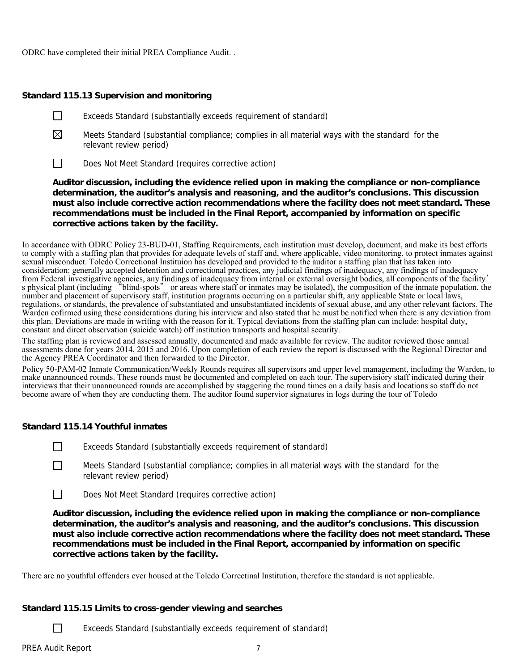ODRC have completed their initial PREA Compliance Audit. .

## **Standard 115.13 Supervision and monitoring**

- $\Box$  Exceeds Standard (substantially exceeds requirement of standard)
- $\boxtimes$  Meets Standard (substantial compliance; complies in all material ways with the standard for the relevant review period)
- $\Box$  Does Not Meet Standard (requires corrective action)

**Auditor discussion, including the evidence relied upon in making the compliance or non-compliance determination, the auditor's analysis and reasoning, and the auditor's conclusions. This discussion must also include corrective action recommendations where the facility does not meet standard. These recommendations must be included in the Final Report, accompanied by information on specific corrective actions taken by the facility.**

In accordance with ODRC Policy 23-BUD-01, Staffing Requirements, each institution must develop, document, and make its best efforts to comply with a staffing plan that provides for adequate levels of staff and, where applicable, video monitoring, to protect inmates against sexual misconduct. Toledo Correctional Instituion has developed and provided to the auditor a staffing plan that has taken into consideration: generally accepted detention and correctional practices, any judicial findings of inadequacy, any findings of inadequacy<br>from Federal investigative agencies, any findings of inadequacy from internal or exter from Federal investigative agencies, any findings of inadequacy from internal or external oversight bodies, all components of the facility'<br>s physical plant (including "blind-spots" or areas where staff or inmates may be i number and placement of supervisory staff, institution programs occurring on a particular shift, any applicable State or local laws, regulations, or standards, the prevalence of substantiated and unsubstantiated incidents of sexual abuse, and any other relevant factors. The Warden cofirmed using these considerations during his interview and also stated that he must be notified when there is any deviation from this plan. Deviations are made in writing with the reason for it. Typical deviations from the staffing plan can include: hospital duty, constant and direct observation (suicide watch) off institution transports and hospital security.

The staffing plan is reviewed and assessed annually, documented and made available for review. The auditor reviewed those annual assessments done for years 2014, 2015 and 2016. Upon completion of each review the report is discussed with the Regional Director and the Agency PREA Coordinator and then forwarded to the Director.

Policy 50-PAM-02 Inmate Communication/Weekly Rounds requires all supervisors and upper level management, including the Warden, to make unannounced rounds. These rounds must be documented and completed on each tour. The supervisiory staff indicated during their interviews that their unannounced rounds are accomplished by staggering the round times on a daily basis and locations so staff do not become aware of when they are conducting them. The auditor found supervior signatures in logs during the tour of Toledo

# **Standard 115.14 Youthful inmates**

- Exceeds Standard (substantially exceeds requirement of standard)
	- Meets Standard (substantial compliance; complies in all material ways with the standard for the relevant review period)
- $\Box$  Does Not Meet Standard (requires corrective action)

**Auditor discussion, including the evidence relied upon in making the compliance or non-compliance determination, the auditor's analysis and reasoning, and the auditor's conclusions. This discussion must also include corrective action recommendations where the facility does not meet standard. These recommendations must be included in the Final Report, accompanied by information on specific corrective actions taken by the facility.**

There are no youthful offenders ever housed at the Toledo Correctinal Institution, therefore the standard is not applicable.

#### **Standard 115.15 Limits to cross-gender viewing and searches**

Exceeds Standard (substantially exceeds requirement of standard)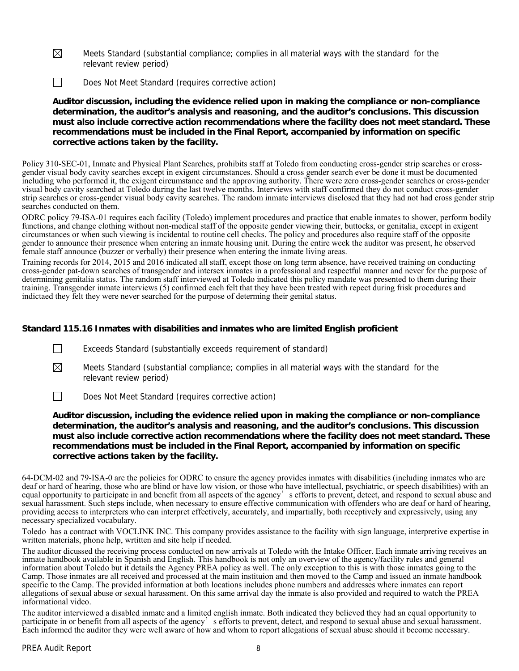- $\boxtimes$  Meets Standard (substantial compliance; complies in all material ways with the standard for the relevant review period)
- Does Not Meet Standard (requires corrective action)

**Auditor discussion, including the evidence relied upon in making the compliance or non-compliance determination, the auditor's analysis and reasoning, and the auditor's conclusions. This discussion must also include corrective action recommendations where the facility does not meet standard. These recommendations must be included in the Final Report, accompanied by information on specific corrective actions taken by the facility.**

Policy 310-SEC-01, Inmate and Physical Plant Searches, prohibits staff at Toledo from conducting cross-gender strip searches or crossgender visual body cavity searches except in exigent circumstances. Should a cross gender search ever be done it must be documented including who performed it, the exigent circumstance and the approving authority. There were zero cross-gender searches or cross-gender visual body cavity searched at Toledo during the last twelve months. Interviews with staff confirmed they do not conduct cross-gender strip searches or cross-gender visual body cavity searches. The random inmate interviews disclosed that they had not had cross gender strip searches conducted on them.

ODRC policy 79-ISA-01 requires each facility (Toledo) implement procedures and practice that enable inmates to shower, perform bodily functions, and change clothing without non-medical staff of the opposite gender viewing their, buttocks, or genitalia, except in exigent circumstances or when such viewing is incidental to routine cell checks. The policy and procedures also require staff of the opposite gender to announce their presence when entering an inmate housing unit. During the entire week the auditor was present, he observed female staff announce (buzzer or verbally) their presence when entering the inmate living areas.

Training records for 2014, 2015 and 2016 indicated all staff, except those on long term absence, have received training on conducting cross-gender pat-down searches of transgender and intersex inmates in a professional and respectful manner and never for the purpose of determining genitalia status. The random staff interviewed at Toledo indicated this policy mandate was presented to them during their training. Transgender inmate interviews (5) confirmed each felt that they have been treated with repect during frisk procedures and indictaed they felt they were never searched for the purpose of determing their genital status.

# **Standard 115.16 Inmates with disabilities and inmates who are limited English proficient**

- Exceeds Standard (substantially exceeds requirement of standard)
- $\boxtimes$  Meets Standard (substantial compliance; complies in all material ways with the standard for the relevant review period)
- Does Not Meet Standard (requires corrective action)

**Auditor discussion, including the evidence relied upon in making the compliance or non-compliance determination, the auditor's analysis and reasoning, and the auditor's conclusions. This discussion must also include corrective action recommendations where the facility does not meet standard. These recommendations must be included in the Final Report, accompanied by information on specific corrective actions taken by the facility.**

64-DCM-02 and 79-ISA-0 are the policies for ODRC to ensure the agency provides inmates with disabilities (including inmates who are deaf or hard of hearing, those who are blind or have low vision, or those who have intellectual, psychiatric, or speech disabilities) with an equal opportunity to participate in and benefit from all aspects of the agency's efforts to prevent, detect, and respond to sexual abuse and sexual harassment. Such steps include, when necessary to ensure effective communication with offenders who are deaf or hard of hearing, providing access to interpreters who can interpret effectively, accurately, and impartially, both receptively and expressively, using any necessary specialized vocabulary.

Toledo has a contract with VOCLINK INC. This company provides assistance to the facility with sign language, interpretive expertise in written materials, phone help, wrtitten and site help if needed.

The auditor dicussed the receiving process conducted on new arrivals at Toledo with the Intake Officer. Each inmate arriving receives an inmate handbook available in Spanish and English. This handbook is not only an overview of the agency/facility rules and general information about Toledo but it details the Agency PREA policy as well. The only exception to this is with those inmates going to the Camp. Those inmates are all received and processed at the main instituion and then moved to the Camp and issued an inmate handbook specific to the Camp. The provided information at both locations includes phone numbers and addresses where inmates can report allegations of sexual abuse or sexual harassment. On this same arrival day the inmate is also provided and required to watch the PREA informational video.

The auditor interviewed a disabled inmate and a limited english inmate. Both indicated they believed they had an equal opportunity to participate in or benefit from all aspects of the agency's efforts to prevent, detect, and respond to sexual abuse and sexual harassment. Each informed the auditor they were well aware of how and whom to report allegations of sexual abuse should it become necessary.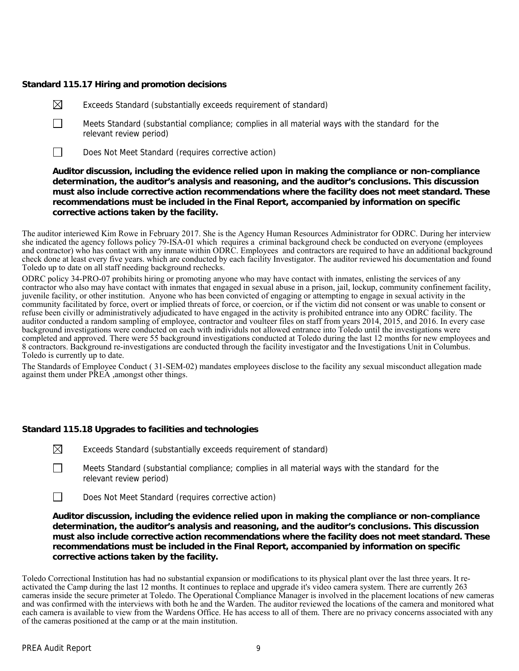## **Standard 115.17 Hiring and promotion decisions**

- $\boxtimes$  Exceeds Standard (substantially exceeds requirement of standard)
- $\Box$  Meets Standard (substantial compliance; complies in all material ways with the standard for the relevant review period)
- Does Not Meet Standard (requires corrective action)

**Auditor discussion, including the evidence relied upon in making the compliance or non-compliance determination, the auditor's analysis and reasoning, and the auditor's conclusions. This discussion must also include corrective action recommendations where the facility does not meet standard. These recommendations must be included in the Final Report, accompanied by information on specific corrective actions taken by the facility.**

The auditor interiewed Kim Rowe in February 2017. She is the Agency Human Resources Administrator for ODRC. During her interview she indicated the agency follows policy 79-ISA-01 which requires a criminal background check be conducted on everyone (employees and contractor) who has contact with any inmate within ODRC. Employees and contractors are required to have an additional background check done at least every five years. which are conducted by each facility Investigator. The auditor reviewed his documentation and found Toledo up to date on all staff needing background rechecks.

ODRC policy 34-PRO-07 prohibits hiring or promoting anyone who may have contact with inmates, enlisting the services of any contractor who also may have contact with inmates that engaged in sexual abuse in a prison, jail, lockup, community confinement facility, juvenile facility, or other institution. Anyone who has been convicted of engaging or attempting to engage in sexual activity in the community facilitated by force, overt or implied threats of force, or coercion, or if the victim did not consent or was unable to consent or refuse been civilly or administratively adjudicated to have engaged in the activity is prohibited entrance into any ODRC facility. The auditor conducted a random sampling of employee, contractor and voulteer files on staff from years 2014, 2015, and 2016. In every case background investigations were conducted on each with individuls not allowed entrance into Toledo until the investigations were completed and approved. There were 55 background investigations conducted at Toledo during the last 12 months for new employees and 8 contractors. Background re-investigations are conducted through the facility investigator and the Investigations Unit in Columbus. Toledo is currently up to date.

The Standards of Employee Conduct ( 31-SEM-02) mandates employees disclose to the facility any sexual misconduct allegation made against them under PREA ,amongst other things.

# **Standard 115.18 Upgrades to facilities and technologies**

 $\boxtimes$  Exceeds Standard (substantially exceeds requirement of standard)

- $\Box$  Meets Standard (substantial compliance; complies in all material ways with the standard for the relevant review period)
- $\Box$  Does Not Meet Standard (requires corrective action)

**Auditor discussion, including the evidence relied upon in making the compliance or non-compliance determination, the auditor's analysis and reasoning, and the auditor's conclusions. This discussion must also include corrective action recommendations where the facility does not meet standard. These recommendations must be included in the Final Report, accompanied by information on specific corrective actions taken by the facility.**

Toledo Correctional Institution has had no substantial expansion or modifications to its physical plant over the last three years. It reactivated the Camp during the last 12 months. It continues to replace and upgrade it's video camera system. There are currently 263 cameras inside the secure primeter at Toledo. The Operational Compliance Manager is involved in the placement locations of new cameras and was confirmed with the interviews with both he and the Warden. The auditor reviewed the locations of the camera and monitored what each camera is available to view from the Wardens Office. He has access to all of them. There are no privacy concerns associated with any of the cameras positioned at the camp or at the main institution.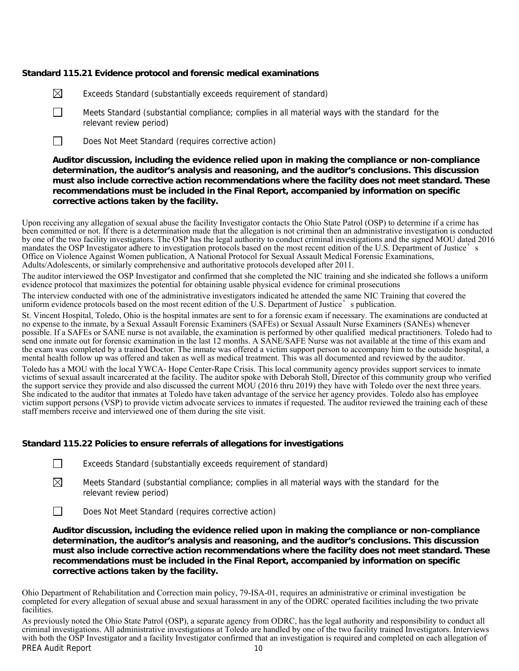## **Standard 115.21 Evidence protocol and forensic medical examinations**

- $\boxtimes$  Exceeds Standard (substantially exceeds requirement of standard)
- $\Box$  Meets Standard (substantial compliance; complies in all material ways with the standard for the relevant review period)
- $\Box$  Does Not Meet Standard (requires corrective action)

## **Auditor discussion, including the evidence relied upon in making the compliance or non-compliance determination, the auditor's analysis and reasoning, and the auditor's conclusions. This discussion must also include corrective action recommendations where the facility does not meet standard. These recommendations must be included in the Final Report, accompanied by information on specific corrective actions taken by the facility.**

Upon receiving any allegation of sexual abuse the facility Investigator contacts the Ohio State Patrol (OSP) to determine if a crime has been committed or not. If there is a determination made that the allegation is not criminal then an administrative investigation is conducted by one of the two facility investigators. The OSP has the legal authority to conduct criminal investigations and the signed MOU dated 2016 mandates the OSP Investigator adhere to investigation protocols based on the most recent edition of the U.S. Department of Justice's Office on Violence Against Women publication, A National Protocol for Sexual Assault Medical Forensic Examinations, Adults/Adolescents, or similarly comprehensive and authoritative protocols developed after 2011.

The auditor interviewed the OSP Investigator and confirmed that she completed the NIC training and she indicated she follows a uniform evidence protocol that maximizes the potential for obtaining usable physical evidence for criminal prosecutions

The interview conducted with one of the administrative investigators indicated he attended the same NIC Training that covered the uniform evidence protocols based on the most recent edition of the U.S. Department of Justice's publication.

St. Vincent Hospital, Toledo, Ohio is the hospital inmates are sent to for a forensic exam if necessary. The examinations are conducted at no expense to the inmate, by a Sexual Assault Forensic Examiners (SAFEs) or Sexual Assault Nurse Examiners (SANEs) whenever possible. If a SAFEs or SANE nurse is not available, the examination is performed by other qualified medical practitioners. Toledo had to send one inmate out for forensic examination in the last 12 months. A SANE/SAFE Nurse was not available at the time of this exam and the exam was completed by a trained Doctor. The inmate was offered a victim support person to accompany him to the outside hospital, a mental health follow up was offered and taken as well as medical treatment. This was all documented and reviewed by the auditor.

Toledo has a MOU with the local YWCA- Hope Center-Rape Crisis. This local community agency provides support services to inmate victims of sexual assault incarcerated at the facility. The auditor spoke with Deborah Stoll, Director of this community group who verified the support service they provide and also discussed the current MOU (2016 thru 2019) they have with Toledo over the next three years. She indicated to the auditor that inmates at Toledo have taken advantage of the service her agency provides. Toledo also has employee victim support persons (VSP) to provide victim advocate services to inmates if requested. The auditor reviewed the training each of these staff members receive and interviewed one of them during the site visit.

#### **Standard 115.22 Policies to ensure referrals of allegations for investigations**

|  | Exceeds Standard (substantially exceeds requirement of standard) |  |  |
|--|------------------------------------------------------------------|--|--|
|  |                                                                  |  |  |

 $\boxtimes$  Meets Standard (substantial compliance; complies in all material ways with the standard for the relevant review period)

Does Not Meet Standard (requires corrective action)

**Auditor discussion, including the evidence relied upon in making the compliance or non-compliance determination, the auditor's analysis and reasoning, and the auditor's conclusions. This discussion must also include corrective action recommendations where the facility does not meet standard. These recommendations must be included in the Final Report, accompanied by information on specific corrective actions taken by the facility.**

Ohio Department of Rehabilitation and Correction main policy, 79-ISA-01, requires an administrative or criminal investigation be completed for every allegation of sexual abuse and sexual harassment in any of the ODRC operated facilities including the two private facilities.

PREA Audit Report 10 As previously noted the Ohio State Patrol (OSP), a separate agency from ODRC, has the legal authority and responsibility to conduct all criminal investigations. All administrative investigations at Toledo are handled by one of the two facility trained Investigators. Interviews with both the OSP Investigator and a facility Investigator confirmed that an investigation is required and completed on each allegation of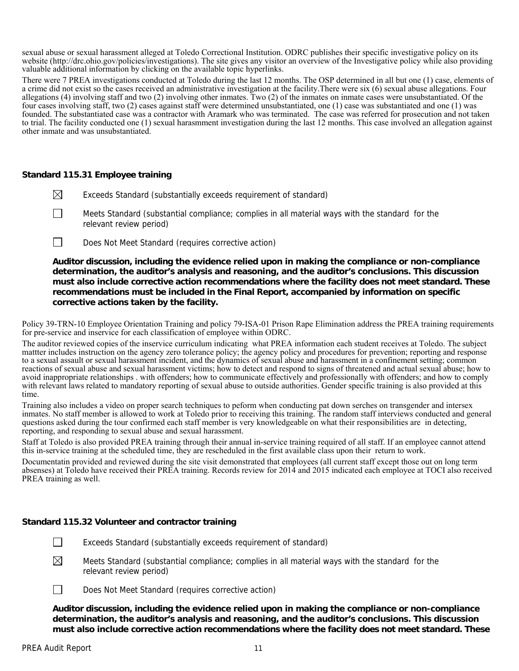sexual abuse or sexual harassment alleged at Toledo Correctional Institution. ODRC publishes their specific investigative policy on its website (http://drc.ohio.gov/policies/investigations). The site gives any visitor an overview of the Investigative policy while also providing valuable additional information by clicking on the available topic hyperlinks.

There were 7 PREA investigations conducted at Toledo during the last 12 months. The OSP determined in all but one (1) case, elements of a crime did not exist so the cases received an administrative investigation at the facility.There were six (6) sexual abuse allegations. Four allegations (4) involving staff and two (2) involving other inmates. Two (2) of the inmates on inmate cases were unsubstantiated. Of the four cases involving staff, two (2) cases against staff were determined unsubstantiated, one (1) case was substantiated and one (1) was founded. The substantiated case was a contractor with Aramark who was terminated. The case was referred for prosecution and not taken to trial. The facility conducted one (1) sexual harasmment investigation during the last 12 months. This case involved an allegation against other inmate and was unsubstantiated.

## **Standard 115.31 Employee training**

- $\boxtimes$  Exceeds Standard (substantially exceeds requirement of standard)
- $\Box$  Meets Standard (substantial compliance; complies in all material ways with the standard for the relevant review period)
- Does Not Meet Standard (requires corrective action)

**Auditor discussion, including the evidence relied upon in making the compliance or non-compliance determination, the auditor's analysis and reasoning, and the auditor's conclusions. This discussion must also include corrective action recommendations where the facility does not meet standard. These recommendations must be included in the Final Report, accompanied by information on specific corrective actions taken by the facility.**

Policy 39-TRN-10 Employee Orientation Training and policy 79-ISA-01 Prison Rape Elimination address the PREA training requirements for pre-service and inservice for each classification of employee within ODRC.

The auditor reviewed copies of the inservice curriculum indicating what PREA information each student receives at Toledo. The subject mattter includes instruction on the agency zero tolerance policy; the agency policy and procedures for prevention; reporting and response to a sexual assault or sexual harassment incident, and the dynamics of sexual abuse and harassment in a confinement setting; common reactions of sexual abuse and sexual harassment victims; how to detect and respond to signs of threatened and actual sexual abuse; how to avoid inappropriate relationships . with offenders; how to communicate effectively and professionally with offenders; and how to comply with relevant laws related to mandatory reporting of sexual abuse to outside authorities. Gender specific training is also provided at this time.

Training also includes a video on proper search techniques to peform when conducting pat down serches on transgender and intersex inmates. No staff member is allowed to work at Toledo prior to receiving this training. The random staff interviews conducted and general questions asked during the tour confirmed each staff member is very knowledgeable on what their responsibilities are in detecting, reporting, and responding to sexual abuse and sexual harassment.

Staff at Toledo is also provided PREA training through their annual in-service training required of all staff. If an employee cannot attend this in-service training at the scheduled time, they are rescheduled in the first available class upon their return to work.

Documentatin provided and reviewed during the site visit demonstrated that employees (all current staff except those out on long term absenses) at Toledo have received their PREA training. Records review for 2014 and 2015 indicated each employee at TOCI also received PREA training as well.

# **Standard 115.32 Volunteer and contractor training**

- $\Box$  Exceeds Standard (substantially exceeds requirement of standard)
- $\boxtimes$  Meets Standard (substantial compliance; complies in all material ways with the standard for the relevant review period)



**Auditor discussion, including the evidence relied upon in making the compliance or non-compliance determination, the auditor's analysis and reasoning, and the auditor's conclusions. This discussion must also include corrective action recommendations where the facility does not meet standard. These**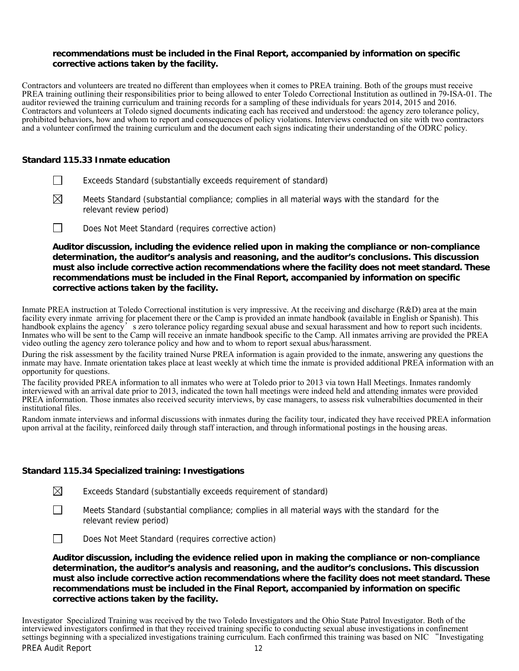#### **recommendations must be included in the Final Report, accompanied by information on specific corrective actions taken by the facility.**

Contractors and volunteers are treated no different than employees when it comes to PREA training. Both of the groups must receive PREA training outlining their responsibilities prior to being allowed to enter Toledo Correctional Institution as outlined in 79-ISA-01. The auditor reviewed the training curriculum and training records for a sampling of these individuals for years 2014, 2015 and 2016. Contractors and volunteers at Toledo signed documents indicating each has received and understood: the agency zero tolerance policy, prohibited behaviors, how and whom to report and consequences of policy violations. Interviews conducted on site with two contractors and a volunteer confirmed the training curriculum and the document each signs indicating their understanding of the ODRC policy.

## **Standard 115.33 Inmate education**

- $\Box$  Exceeds Standard (substantially exceeds requirement of standard)
- $\boxtimes$  Meets Standard (substantial compliance; complies in all material ways with the standard for the relevant review period)
- Does Not Meet Standard (requires corrective action)

**Auditor discussion, including the evidence relied upon in making the compliance or non-compliance determination, the auditor's analysis and reasoning, and the auditor's conclusions. This discussion must also include corrective action recommendations where the facility does not meet standard. These recommendations must be included in the Final Report, accompanied by information on specific corrective actions taken by the facility.**

Inmate PREA instruction at Toledo Correctional institution is very impressive. At the receiving and discharge (R&D) area at the main facility every inmate arriving for placement there or the Camp is provided an inmate handbook (available in English or Spanish). This handbook explains the agency's zero tolerance policy regarding sexual abuse and sexual harassment and how to report such incidents. Inmates who will be sent to the Camp will receive an inmate handbook specific to the Camp. All inmates arriving are provided the PREA video outling the agency zero tolerance policy and how and to whom to report sexual abus/harassment.

During the risk assessment by the facility trained Nurse PREA information is again provided to the inmate, answering any questions the inmate may have. Inmate orientation takes place at least weekly at which time the inmate is provided additional PREA information with an opportunity for questions.

The facility provided PREA information to all inmates who were at Toledo prior to 2013 via town Hall Meetings. Inmates randomly interviewed with an arrival date prior to 2013, indicated the town hall meetings were indeed held and attending inmates were provided PREA information. Those inmates also received security interviews, by case managers, to assess risk vulnerabilties documented in their institutional files.

Random inmate interviews and informal discussions with inmates during the facility tour, indicated they have received PREA information upon arrival at the facility, reinforced daily through staff interaction, and through informational postings in the housing areas.

# **Standard 115.34 Specialized training: Investigations**

| $\boxtimes$<br>Exceeds Standard (substantially exceeds requirement of standard) |  |
|---------------------------------------------------------------------------------|--|
|---------------------------------------------------------------------------------|--|

 $\Box$  Meets Standard (substantial compliance; complies in all material ways with the standard for the relevant review period)



**Auditor discussion, including the evidence relied upon in making the compliance or non-compliance determination, the auditor's analysis and reasoning, and the auditor's conclusions. This discussion must also include corrective action recommendations where the facility does not meet standard. These recommendations must be included in the Final Report, accompanied by information on specific corrective actions taken by the facility.**

PREA Audit Report 12 Investigator Specialized Training was received by the two Toledo Investigators and the Ohio State Patrol Investigator. Both of the interviewed investigators confirmed in that they received training specific to conducting sexual abuse investigations in confinement settings beginning with a specialized investigations training curriculum. Each confirmed this training was based on NIC "Investigating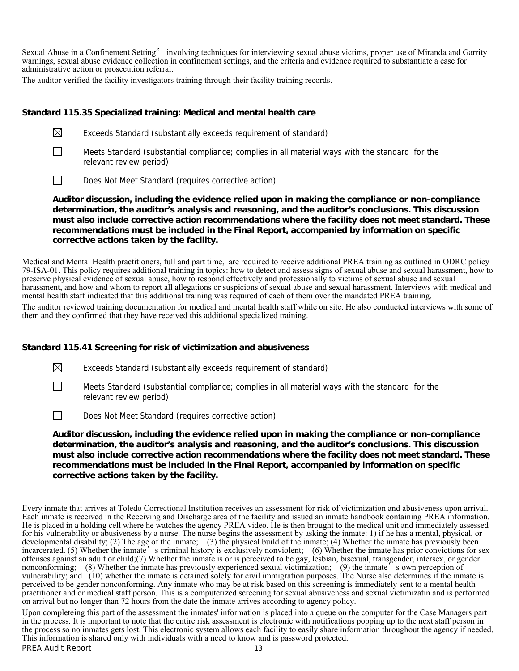Sexual Abuse in a Confinement Setting" involving techniques for interviewing sexual abuse victims, proper use of Miranda and Garrity warnings, sexual abuse evidence collection in confinement settings, and the criteria and evidence required to substantiate a case for administrative action or prosecution referral.

The auditor verified the facility investigators training through their facility training records.

## **Standard 115.35 Specialized training: Medical and mental health care**

- $\boxtimes$  Exceeds Standard (substantially exceeds requirement of standard)
- $\Box$  Meets Standard (substantial compliance; complies in all material ways with the standard for the relevant review period)
- Does Not Meet Standard (requires corrective action)

**Auditor discussion, including the evidence relied upon in making the compliance or non-compliance determination, the auditor's analysis and reasoning, and the auditor's conclusions. This discussion must also include corrective action recommendations where the facility does not meet standard. These recommendations must be included in the Final Report, accompanied by information on specific corrective actions taken by the facility.**

Medical and Mental Health practitioners, full and part time, are required to receive additional PREA training as outlined in ODRC policy 79-ISA-01. This policy requires additional training in topics: how to detect and assess signs of sexual abuse and sexual harassment, how to preserve physical evidence of sexual abuse, how to respond effectively and professionally to victims of sexual abuse and sexual harassment, and how and whom to report all allegations or suspicions of sexual abuse and sexual harassment. Interviews with medical and mental health staff indicated that this additional training was required of each of them over the mandated PREA training.

The auditor reviewed training documentation for medical and mental health staff while on site. He also conducted interviews with some of them and they confirmed that they have received this additional specialized training.

# **Standard 115.41 Screening for risk of victimization and abusiveness**

 $\boxtimes$  Exceeds Standard (substantially exceeds requirement of standard)

 Meets Standard (substantial compliance; complies in all material ways with the standard for the relevant review period)

 $\Box$  Does Not Meet Standard (requires corrective action)

**Auditor discussion, including the evidence relied upon in making the compliance or non-compliance determination, the auditor's analysis and reasoning, and the auditor's conclusions. This discussion must also include corrective action recommendations where the facility does not meet standard. These recommendations must be included in the Final Report, accompanied by information on specific corrective actions taken by the facility.**

Every inmate that arrives at Toledo Correctional Institution receives an assessment for risk of victimization and abusiveness upon arrival. Each inmate is received in the Receiving and Discharge area of the facility and issued an inmate handbook containing PREA information. He is placed in a holding cell where he watches the agency PREA video. He is then brought to the medical unit and immediately assessed for his vulnerability or abusiveness by a nurse. The nurse begins the assessment by asking the inmate: 1) if he has a mental, physical, or developmental disability; (2) The age of the inmate; (3) the physical build of the inmate; (4) Whether the inmate has previously been incarcerated. (5) Whether the inmate's criminal history is exclusively nonviolent; (6) Whether the inmate has prior convictions for sex offenses against an adult or child;(7) Whether the inmate is or is perceived to be gay, lesbian, bisexual, transgender, intersex, or gender nonconforming; (8) Whether the inmate has previously experienced sexual victimization; (9) the inmate  $\tilde{b}$  s own perception of vulnerability; and (10) whether the inmate is detained solely for civil immigration purposes. The Nurse also determines if the inmate is perceived to be gender nonconforming. Any inmate who may be at risk based on this screening is immediately sent to a mental health practitioner and or medical staff person. This is a computerized screening for sexual abusiveness and sexual victimizatin and is performed on arrival but no longer than 72 hours from the date the inmate arrives according to agency policy.

Upon completeing this part of the assessment the inmates' information is placed into a queue on the computer for the Case Managers part in the process. It is important to note that the entire risk assessment is electronic with notifications popping up to the next staff person in the process so no inmates gets lost. This electronic system allows each facility to easily share information throughout the agency if needed. This information is shared only with individuals with a need to know and is password protected.

 $\Box$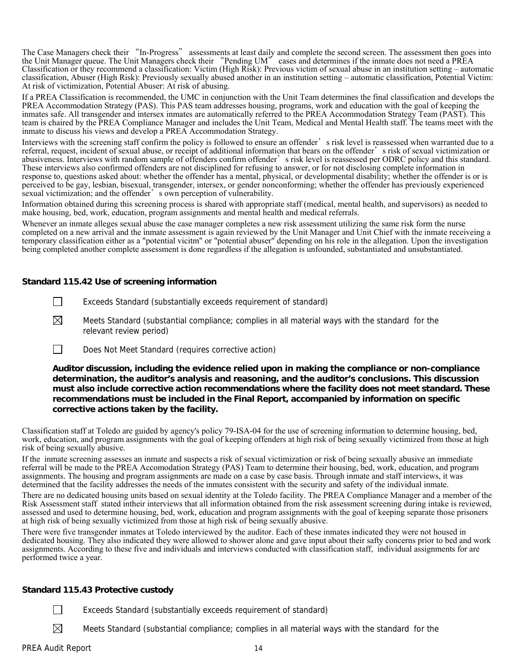The Case Managers check their "In-Progress" assessments at least daily and complete the second screen. The assessment then goes into the Unit Manager queue. The Unit Managers check their "Pending UM" cases and determines if the inmate does not need a PREA Classification or they recommend a classification: Victim (High Risk): Previous victim of sexual abuse in an institution setting – automatic classification, Abuser (High Risk): Previously sexually abused another in an institution setting – automatic classification, Potential Victim: At risk of victimization, Potential Abuser: At risk of abusing.

If a PREA Classification is recommended, the UMC in conjunction with the Unit Team determines the final classification and develops the PREA Accommodation Strategy (PAS). This PAS team addresses housing, programs, work and education with the goal of keeping the inmates safe. All transgender and intersex inmates are automatically referred to the PREA Accommodation Strategy Team (PAST). This team is chaired by the PREA Compliance Manager and includes the Unit Team, Medical and Mental Health staff. The teams meet with the inmate to discuss his views and develop a PREA Accommodation Strategy.

Interviews with the screening staff confirm the policy is followed to ensure an offender's risk level is reassessed when warranted due to a referral, request, incident of sexual abuse, or receipt of additional information that bears on the offender's risk of sexual victimization or abusiveness. Interviews with random sample of offenders confirm offender's risk level is reassessed per ODRC policy and this standard. These interviews also confirmed offenders are not disciplined for refusing to answer, or for not disclosing complete information in response to, questions asked about: whether the offender has a mental, physical, or developmental disability; whether the offender is or is perceived to be gay, lesbian, bisexual, transgender, intersex, or gender nonconforming; whether the offender has previously experienced sexual victimization; and the offender's own perception of vulnerability.

Information obtained during this screening process is shared with appropriate staff (medical, mental health, and supervisors) as needed to make housing, bed, work, education, program assignments and mental health and medical referrals.

Whenever an inmate alleges sexual abuse the case manager completes a new risk assessment utilizing the same risk form the nurse completed on a new arrival and the inmate assessment is again reviewed by the Unit Manager and Unit Chief with the inmate receiveing a temporary classification either as a "potential vicitm" or "potential abuser" depending on his role in the allegation. Upon the investigation being completed another complete assessment is done regardless if the allegation is unfounded, substantiated and unsubstantiated.

## **Standard 115.42 Use of screening information**

- $\Box$  Exceeds Standard (substantially exceeds requirement of standard)
- $\boxtimes$  Meets Standard (substantial compliance; complies in all material ways with the standard for the relevant review period)
- Does Not Meet Standard (requires corrective action)

**Auditor discussion, including the evidence relied upon in making the compliance or non-compliance determination, the auditor's analysis and reasoning, and the auditor's conclusions. This discussion must also include corrective action recommendations where the facility does not meet standard. These recommendations must be included in the Final Report, accompanied by information on specific corrective actions taken by the facility.**

Classification staff at Toledo are guided by agency's policy 79-ISA-04 for the use of screening information to determine housing, bed, work, education, and program assignments with the goal of keeping offenders at high risk of being sexually victimized from those at high risk of being sexually abusive.

If the inmate screening assesses an inmate and suspects a risk of sexual victimization or risk of being sexually abusive an immediate referral will be made to the PREA Accomodation Strategy (PAS) Team to determine their housing, bed, work, education, and program assignments. The housing and program assignments are made on a case by case basis. Through inmate and staff interviews, it was determined that the facility addresses the needs of the inmates consistent with the security and safety of the individual inmate.

There are no dedicated housing units based on sexual identity at the Toledo facility. The PREA Compliance Manager and a member of the Risk Assessment staff stated intheir interviews that all information obtained from the risk assessment screening during intake is reviewed, assessed and used to determine housing, bed, work, education and program assignments with the goal of keeping separate those prisoners at high risk of being sexually victimized from those at high risk of being sexually abusive.

There were five transgender inmates at Toledo interviewed by the auditor. Each of these inmates indicated they were not housed in dedicated housing. They also indicated they were allowed to shower alone and gave input about their safty concerns prior to bed and work assignments. According to these five and individuals and interviews conducted with classification staff, individual assignments for are performed twice a year.

#### **Standard 115.43 Protective custody**

- Exceeds Standard (substantially exceeds requirement of standard)
- $\boxtimes$  Meets Standard (substantial compliance; complies in all material ways with the standard for the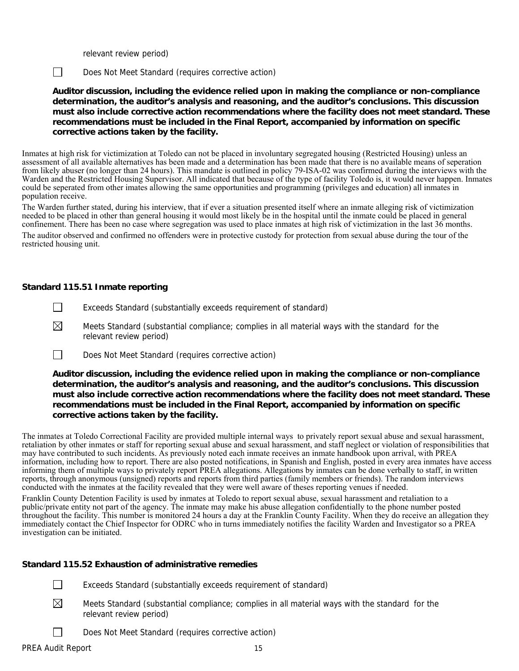relevant review period)

Does Not Meet Standard (requires corrective action)

**Auditor discussion, including the evidence relied upon in making the compliance or non-compliance determination, the auditor's analysis and reasoning, and the auditor's conclusions. This discussion must also include corrective action recommendations where the facility does not meet standard. These recommendations must be included in the Final Report, accompanied by information on specific corrective actions taken by the facility.**

Inmates at high risk for victimization at Toledo can not be placed in involuntary segregated housing (Restricted Housing) unless an assessment of all available alternatives has been made and a determination has been made that there is no available means of seperation from likely abuser (no longer than 24 hours). This mandate is outlined in policy 79-ISA-02 was confirmed during the interviews with the Warden and the Restricted Housing Supervisor. All indicated that because of the type of facility Toledo is, it would never happen. Inmates could be seperated from other imates allowing the same opportunities and programming (privileges and education) all inmates in population receive.

The Warden further stated, during his interview, that if ever a situation presented itself where an inmate alleging risk of victimization needed to be placed in other than general housing it would most likely be in the hospital until the inmate could be placed in general confinement. There has been no case where segregation was used to place inmates at high risk of victimization in the last 36 months.

The auditor observed and confirmed no offenders were in protective custody for protection from sexual abuse during the tour of the restricted housing unit.

## **Standard 115.51 Inmate reporting**

- Exceeds Standard (substantially exceeds requirement of standard)
- $\boxtimes$  Meets Standard (substantial compliance; complies in all material ways with the standard for the relevant review period)
- Does Not Meet Standard (requires corrective action)

**Auditor discussion, including the evidence relied upon in making the compliance or non-compliance determination, the auditor's analysis and reasoning, and the auditor's conclusions. This discussion must also include corrective action recommendations where the facility does not meet standard. These recommendations must be included in the Final Report, accompanied by information on specific corrective actions taken by the facility.**

The inmates at Toledo Correctional Facility are provided multiple internal ways to privately report sexual abuse and sexual harassment, retaliation by other inmates or staff for reporting sexual abuse and sexual harassment, and staff neglect or violation of responsibilities that may have contributed to such incidents. As previously noted each inmate receives an inmate handbook upon arrival, with PREA information, including how to report. There are also posted notifications, in Spanish and English, posted in every area inmates have access informing them of multiple ways to privately report PREA allegations. Allegations by inmates can be done verbally to staff, in written reports, through anonymous (unsigned) reports and reports from third parties (family members or friends). The random interviews conducted with the inmates at the facility revealed that they were well aware of theses reporting venues if needed.

Franklin County Detention Facility is used by inmates at Toledo to report sexual abuse, sexual harassment and retaliation to a public/private entity not part of the agency. The inmate may make his abuse allegation confidentially to the phone number posted throughout the facility. This number is monitored 24 hours a day at the Franklin County Facility. When they do receive an allegation they immediately contact the Chief Inspector for ODRC who in turns immediately notifies the facility Warden and Investigator so a PREA investigation can be initiated.

#### **Standard 115.52 Exhaustion of administrative remedies**

- $\Box$  Exceeds Standard (substantially exceeds requirement of standard)
- $\boxtimes$  Meets Standard (substantial compliance; complies in all material ways with the standard for the relevant review period)
	- Does Not Meet Standard (requires corrective action)

 $\mathbf{I}$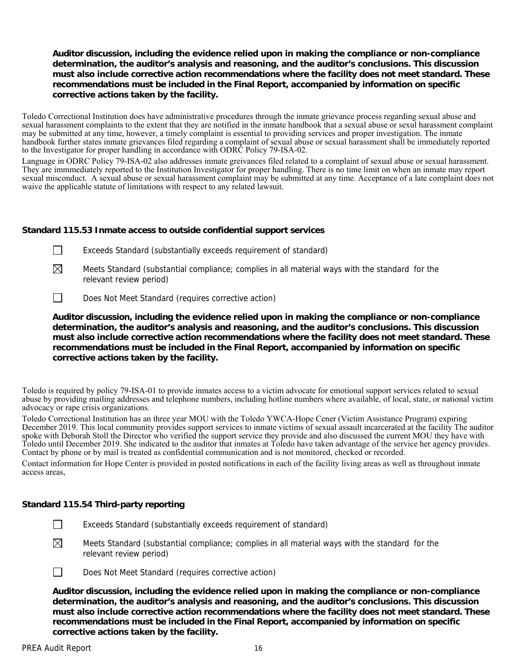## **Auditor discussion, including the evidence relied upon in making the compliance or non-compliance determination, the auditor's analysis and reasoning, and the auditor's conclusions. This discussion must also include corrective action recommendations where the facility does not meet standard. These recommendations must be included in the Final Report, accompanied by information on specific corrective actions taken by the facility.**

Toledo Correctional Institution does have administrative procedures through the inmate grievance process regarding sexual abuse and sexual harassment complaints to the extent that they are notified in the inmate handbook that a sexual abuse or sexul harassment complaint may be submitted at any time, however, a timely complaint is essential to providing services and proper investigation. The inmate handbook further states inmate grievances filed regarding a complaint of sexual abuse or sexual harassment shall be immediately reported to the Investigator for proper handling in accordance with ODRC Policy 79-ISA-02.

Language in ODRC Policy 79-ISA-02 also addresses inmate greivances filed related to a complaint of sexual abuse or sexual harassment. They are immmediately reported to the Institution Investigator for proper handling. There is no time limit on when an inmate may report sexual misconduct. A sexual abuse or sexual harassment complaint may be submitted at any time. Acceptance of a late complaint does not waive the applicable statute of limitations with respect to any related lawsuit.

## **Standard 115.53 Inmate access to outside confidential support services**

| Exceeds Standard (substantially exceeds requirement of standard) |  |
|------------------------------------------------------------------|--|
|------------------------------------------------------------------|--|

- $\boxtimes$  Meets Standard (substantial compliance; complies in all material ways with the standard for the relevant review period)
- Does Not Meet Standard (requires corrective action)

**Auditor discussion, including the evidence relied upon in making the compliance or non-compliance determination, the auditor's analysis and reasoning, and the auditor's conclusions. This discussion must also include corrective action recommendations where the facility does not meet standard. These recommendations must be included in the Final Report, accompanied by information on specific corrective actions taken by the facility.**

Toledo is required by policy 79-ISA-01 to provide inmates access to a victim advocate for emotional support services related to sexual abuse by providing mailing addresses and telephone numbers, including hotline numbers where available, of local, state, or national victim advocacy or rape crisis organizations.

Toledo Correctional Institution has an three year MOU with the Toledo YWCA-Hope Cener (Victim Assistance Program) expiring December 2019. This local community provides support services to inmate victims of sexual assault incarcerated at the facility The auditor spoke with Deborah Stoll the Director who verified the support service they provide and also discussed the current MOU they have with Toledo until December 2019. She indicated to the auditor that inmates at Toledo have taken advantage of the service her agency provides. Contact by phone or by mail is treated as confidential communication and is not monitored, checked or recorded.

Contact information for Hope Center is provided in posted notifications in each of the facility living areas as well as throughout inmate access areas,

#### **Standard 115.54 Third-party reporting**

- Exceeds Standard (substantially exceeds requirement of standard)
- $\boxtimes$  Meets Standard (substantial compliance; complies in all material ways with the standard for the relevant review period)



Does Not Meet Standard (requires corrective action)

**Auditor discussion, including the evidence relied upon in making the compliance or non-compliance determination, the auditor's analysis and reasoning, and the auditor's conclusions. This discussion must also include corrective action recommendations where the facility does not meet standard. These recommendations must be included in the Final Report, accompanied by information on specific corrective actions taken by the facility.**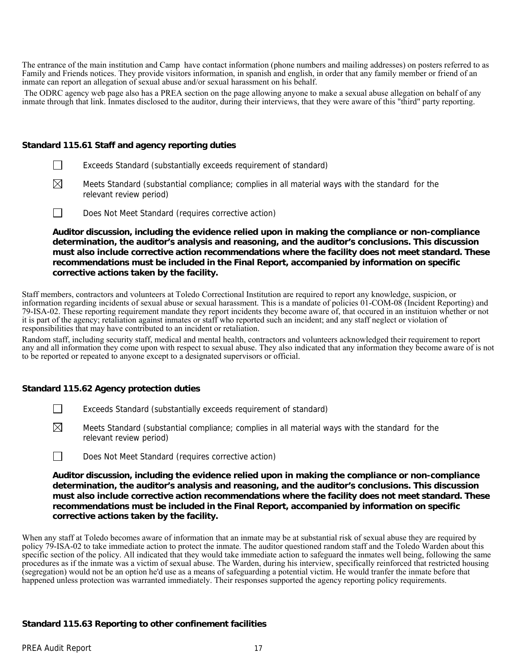The entrance of the main institution and Camp have contact information (phone numbers and mailing addresses) on posters referred to as Family and Friends notices. They provide visitors information, in spanish and english, in order that any family member or friend of an inmate can report an allegation of sexual abuse and/or sexual harassment on his behalf.

 The ODRC agency web page also has a PREA section on the page allowing anyone to make a sexual abuse allegation on behalf of any inmate through that link. Inmates disclosed to the auditor, during their interviews, that they were aware of this "third" party reporting.

#### **Standard 115.61 Staff and agency reporting duties**

- **EXCEED** Exceeds Standard (substantially exceeds requirement of standard)
- $\boxtimes$  Meets Standard (substantial compliance; complies in all material ways with the standard for the relevant review period)
- Does Not Meet Standard (requires corrective action)

**Auditor discussion, including the evidence relied upon in making the compliance or non-compliance determination, the auditor's analysis and reasoning, and the auditor's conclusions. This discussion must also include corrective action recommendations where the facility does not meet standard. These recommendations must be included in the Final Report, accompanied by information on specific corrective actions taken by the facility.**

Staff members, contractors and volunteers at Toledo Correctional Institution are required to report any knowledge, suspicion, or information regarding incidents of sexual abuse or sexual harassment. This is a mandate of policies 01-COM-08 (Incident Reporting) and 79-ISA-02. These reporting requirement mandate they report incidents they become aware of, that occured in an instituion whether or not it is part of the agency; retaliation against inmates or staff who reported such an incident; and any staff neglect or violation of responsibilities that may have contributed to an incident or retaliation.

Random staff, including security staff, medical and mental health, contractors and volunteers acknowledged their requirement to report any and all information they come upon with respect to sexual abuse. They also indicated that any information they become aware of is not to be reported or repeated to anyone except to a designated supervisors or official.

#### **Standard 115.62 Agency protection duties**

- **Exceeds Standard (substantially exceeds requirement of standard)**
- $\boxtimes$  Meets Standard (substantial compliance; complies in all material ways with the standard for the relevant review period)
- $\Box$  Does Not Meet Standard (requires corrective action)

**Auditor discussion, including the evidence relied upon in making the compliance or non-compliance determination, the auditor's analysis and reasoning, and the auditor's conclusions. This discussion must also include corrective action recommendations where the facility does not meet standard. These recommendations must be included in the Final Report, accompanied by information on specific corrective actions taken by the facility.**

When any staff at Toledo becomes aware of information that an inmate may be at substantial risk of sexual abuse they are required by policy 79-ISA-02 to take immediate action to protect the inmate. The auditor questioned random staff and the Toledo Warden about this specific section of the policy. All indicated that they would take immediate action to safeguard the inmates well being, following the same procedures as if the inmate was a victim of sexual abuse. The Warden, during his interview, specifically reinforced that restricted housing (segregation) would not be an option he'd use as a means of safeguarding a potential victim. He would tranfer the inmate before that happened unless protection was warranted immediately. Their responses supported the agency reporting policy requirements.

#### **Standard 115.63 Reporting to other confinement facilities**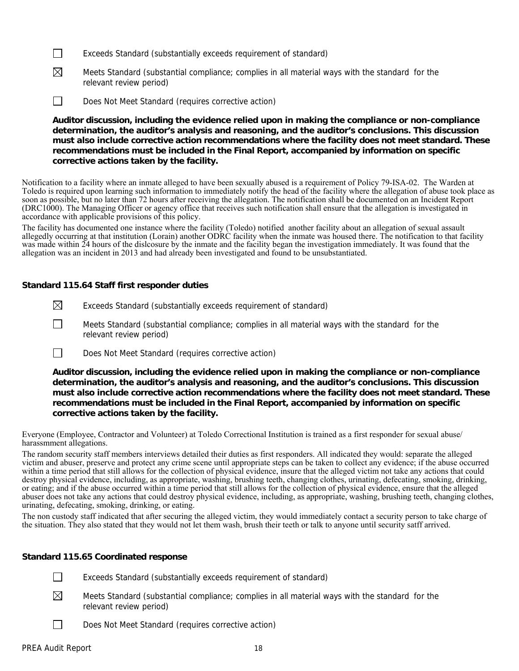- $\Box$  Exceeds Standard (substantially exceeds requirement of standard)
- $\boxtimes$  Meets Standard (substantial compliance; complies in all material ways with the standard for the relevant review period)
- Does Not Meet Standard (requires corrective action)

**Auditor discussion, including the evidence relied upon in making the compliance or non-compliance determination, the auditor's analysis and reasoning, and the auditor's conclusions. This discussion must also include corrective action recommendations where the facility does not meet standard. These recommendations must be included in the Final Report, accompanied by information on specific corrective actions taken by the facility.**

Notification to a facility where an inmate alleged to have been sexually abused is a requirement of Policy 79-ISA-02. The Warden at Toledo is required upon learning such information to immediately notify the head of the facility where the allegation of abuse took place as soon as possible, but no later than 72 hours after receiving the allegation. The notification shall be documented on an Incident Report (DRC1000). The Managing Officer or agency office that receives such notification shall ensure that the allegation is investigated in accordance with applicable provisions of this policy.

The facility has documented one instance where the facility (Toledo) notified another facility about an allegation of sexual assault allegedly occurring at that institution (Lorain) another ODRC facility when the inmate was housed there. The notification to that facility was made within 24 hours of the dislcosure by the inmate and the facility began the investigation immediately. It was found that the allegation was an incident in 2013 and had already been investigated and found to be unsubstantiated.

#### **Standard 115.64 Staff first responder duties**

- $\boxtimes$  Exceeds Standard (substantially exceeds requirement of standard)
- Meets Standard (substantial compliance; complies in all material ways with the standard for the  $\mathbf{I}$ relevant review period)
- Does Not Meet Standard (requires corrective action)

**Auditor discussion, including the evidence relied upon in making the compliance or non-compliance determination, the auditor's analysis and reasoning, and the auditor's conclusions. This discussion must also include corrective action recommendations where the facility does not meet standard. These recommendations must be included in the Final Report, accompanied by information on specific corrective actions taken by the facility.**

Everyone (Employee, Contractor and Volunteer) at Toledo Correctional Institution is trained as a first responder for sexual abuse/ harassmment allegations.

The random security staff members interviews detailed their duties as first responders. All indicated they would: separate the alleged victim and abuser, preserve and protect any crime scene until appropriate steps can be taken to collect any evidence; if the abuse occurred within a time period that still allows for the collection of physical evidence, insure that the alleged victim not take any actions that could destroy physical evidence, including, as appropriate, washing, brushing teeth, changing clothes, urinating, defecating, smoking, drinking, or eating; and if the abuse occurred within a time period that still allows for the collection of physical evidence, ensure that the alleged abuser does not take any actions that could destroy physical evidence, including, as appropriate, washing, brushing teeth, changing clothes, urinating, defecating, smoking, drinking, or eating.

The non custody staff indicated that after securing the alleged victim, they would immediately contact a security person to take charge of the situation. They also stated that they would not let them wash, brush their teeth or talk to anyone until security satff arrived.

#### **Standard 115.65 Coordinated response**

 $\Box$  Exceeds Standard (substantially exceeds requirement of standard)

- $\boxtimes$  Meets Standard (substantial compliance; complies in all material ways with the standard for the relevant review period)
- Does Not Meet Standard (requires corrective action)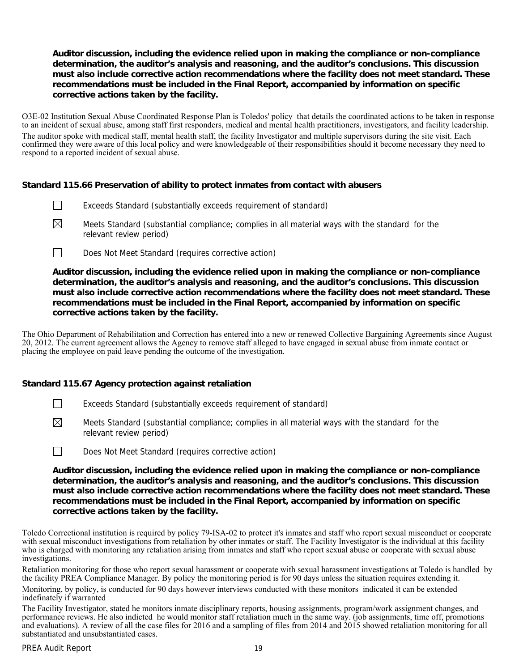## **Auditor discussion, including the evidence relied upon in making the compliance or non-compliance determination, the auditor's analysis and reasoning, and the auditor's conclusions. This discussion must also include corrective action recommendations where the facility does not meet standard. These recommendations must be included in the Final Report, accompanied by information on specific corrective actions taken by the facility.**

O3E-02 Institution Sexual Abuse Coordinated Response Plan is Toledos' policy that details the coordinated actions to be taken in response to an incident of sexual abuse, among staff first responders, medical and mental health practitioners, investigators, and facility leadership. The auditor spoke with medical staff, mental health staff, the facility Investigator and multiple supervisors during the site visit. Each confirmed they were aware of this local policy and were knowledgeable of their responsibilities should it become necessary they need to respond to a reported incident of sexual abuse.

#### **Standard 115.66 Preservation of ability to protect inmates from contact with abusers**

- Exceeds Standard (substantially exceeds requirement of standard)
- $\boxtimes$  Meets Standard (substantial compliance; complies in all material ways with the standard for the relevant review period)
- Does Not Meet Standard (requires corrective action)

## **Auditor discussion, including the evidence relied upon in making the compliance or non-compliance determination, the auditor's analysis and reasoning, and the auditor's conclusions. This discussion must also include corrective action recommendations where the facility does not meet standard. These recommendations must be included in the Final Report, accompanied by information on specific corrective actions taken by the facility.**

The Ohio Department of Rehabilitation and Correction has entered into a new or renewed Collective Bargaining Agreements since August 20, 2012. The current agreement allows the Agency to remove staff alleged to have engaged in sexual abuse from inmate contact or placing the employee on paid leave pending the outcome of the investigation.

# **Standard 115.67 Agency protection against retaliation**

- Exceeds Standard (substantially exceeds requirement of standard)
- $\boxtimes$  Meets Standard (substantial compliance; complies in all material ways with the standard for the relevant review period)



**Auditor discussion, including the evidence relied upon in making the compliance or non-compliance determination, the auditor's analysis and reasoning, and the auditor's conclusions. This discussion must also include corrective action recommendations where the facility does not meet standard. These recommendations must be included in the Final Report, accompanied by information on specific corrective actions taken by the facility.**

Toledo Correctional institution is required by policy 79-ISA-02 to protect it's inmates and staff who report sexual misconduct or cooperate with sexual misconduct investigations from retaliation by other inmates or staff. The Facility Investigator is the individual at this facility who is charged with monitoring any retaliation arising from inmates and staff who report sexual abuse or cooperate with sexual abuse investigations.

Retaliation monitoring for those who report sexual harassment or cooperate with sexual harassment investigations at Toledo is handled by the facility PREA Compliance Manager. By policy the monitoring period is for 90 days unless the situation requires extending it.

Monitoring, by policy, is conducted for 90 days however interviews conducted with these monitors indicated it can be extended indefinately if warranted

The Facility Investigator, stated he monitors inmate disciplinary reports, housing assignments, program/work assignment changes, and performance reviews. He also indicted he would monitor staff retaliation much in the same way. (job assignments, time off, promotions and evaluations). A review of all the case files for 2016 and a sampling of files from 2014 and 2015 showed retaliation monitoring for all substantiated and unsubstantiated cases.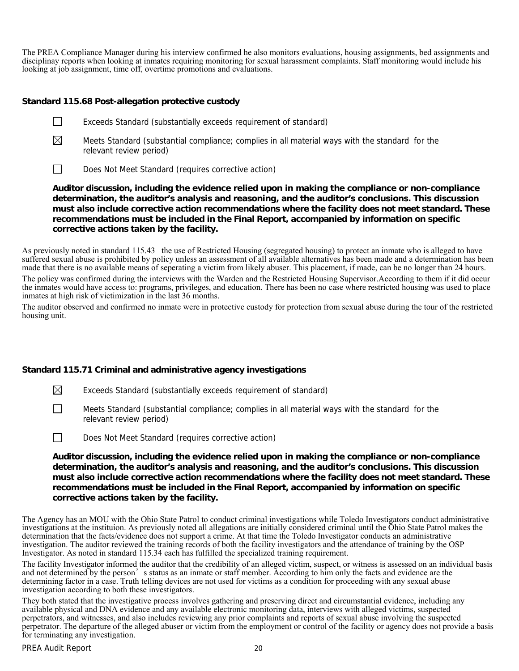The PREA Compliance Manager during his interview confirmed he also monitors evaluations, housing assignments, bed assignments and disciplinay reports when looking at inmates requiring monitoring for sexual harassment complaints. Staff monitoring would include his looking at job assignment, time off, overtime promotions and evaluations.

## **Standard 115.68 Post-allegation protective custody**

- Exceeds Standard (substantially exceeds requirement of standard)
- $\boxtimes$  Meets Standard (substantial compliance; complies in all material ways with the standard for the relevant review period)
- Does Not Meet Standard (requires corrective action)

**Auditor discussion, including the evidence relied upon in making the compliance or non-compliance determination, the auditor's analysis and reasoning, and the auditor's conclusions. This discussion must also include corrective action recommendations where the facility does not meet standard. These recommendations must be included in the Final Report, accompanied by information on specific corrective actions taken by the facility.**

As previously noted in standard 115.43 the use of Restricted Housing (segregated housing) to protect an inmate who is alleged to have suffered sexual abuse is prohibited by policy unless an assessment of all available alternatives has been made and a determination has been made that there is no available means of seperating a victim from likely abuser. This placement, if made, can be no longer than 24 hours. The policy was confirmed during the interviews with the Warden and the Restricted Housing Supervisor.According to them if it did occur the inmates would have access to: programs, privileges, and education. There has been no case where restricted housing was used to place inmates at high risk of victimization in the last 36 months.

The auditor observed and confirmed no inmate were in protective custody for protection from sexual abuse during the tour of the restricted housing unit.

#### **Standard 115.71 Criminal and administrative agency investigations**

 $\boxtimes$  Exceeds Standard (substantially exceeds requirement of standard)

 $\Box$  Meets Standard (substantial compliance; complies in all material ways with the standard for the relevant review period)

Does Not Meet Standard (requires corrective action)

**Auditor discussion, including the evidence relied upon in making the compliance or non-compliance determination, the auditor's analysis and reasoning, and the auditor's conclusions. This discussion must also include corrective action recommendations where the facility does not meet standard. These recommendations must be included in the Final Report, accompanied by information on specific corrective actions taken by the facility.**

The Agency has an MOU with the Ohio State Patrol to conduct criminal investigations while Toledo Investigators conduct administrative investigations at the instituion. As previously noted all allegations are initially considered criminal until the Ohio State Patrol makes the determination that the facts/evidence does not support a crime. At that time the Toledo Investigator conducts an administrative investigation. The auditor reviewed the training records of both the facility investigators and the attendance of training by the OSP Investigator. As noted in standard 115.34 each has fulfilled the specialized training requirement.

The facility Investigator informed the auditor that the credibility of an alleged victim, suspect, or witness is assessed on an individual basis and not determined by the person's status as an inmate or staff member. According to him only the facts and evidence are the determining factor in a case. Truth telling devices are not used for victims as a condition for proceeding with any sexual abuse investigation according to both these investigators.

They both stated that the investigative process involves gathering and preserving direct and circumstantial evidence, including any available physical and DNA evidence and any available electronic monitoring data, interviews with alleged victims, suspected perpetrators, and witnesses, and also includes reviewing any prior complaints and reports of sexual abuse involving the suspected perpetrator. The departure of the alleged abuser or victim from the employment or control of the facility or agency does not provide a basis for terminating any investigation.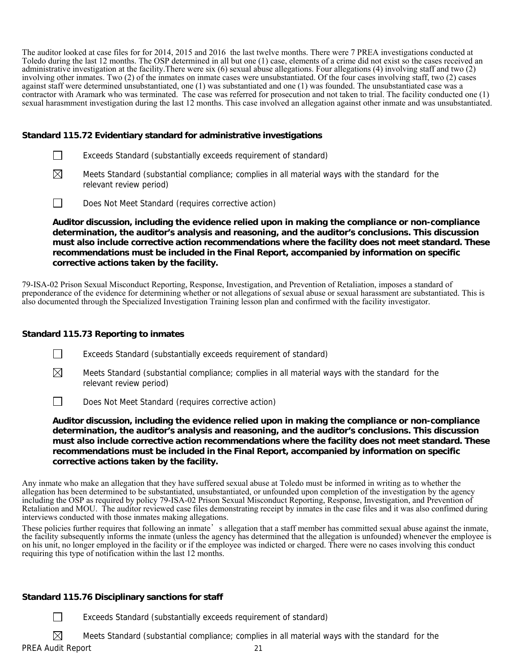The auditor looked at case files for for 2014, 2015 and 2016 the last twelve months. There were 7 PREA investigations conducted at Toledo during the last 12 months. The OSP determined in all but one (1) case, elements of a crime did not exist so the cases received an administrative investigation at the facility.There were six (6) sexual abuse allegations. Four allegations (4) involving staff and two (2) involving other inmates. Two (2) of the inmates on inmate cases were unsubstantiated. Of the four cases involving staff, two (2) cases against staff were determined unsubstantiated, one (1) was substantiated and one (1) was founded. The unsubstantiated case was a contractor with Aramark who was terminated. The case was referred for prosecution and not taken to trial. The facility conducted one (1) sexual harasmment investigation during the last 12 months. This case involved an allegation against other inmate and was unsubstantiated.

## **Standard 115.72 Evidentiary standard for administrative investigations**

| Exceeds Standard (substantially exceeds requirement of standard) |
|------------------------------------------------------------------|
|------------------------------------------------------------------|

- $\boxtimes$  Meets Standard (substantial compliance; complies in all material ways with the standard for the relevant review period)
- Does Not Meet Standard (requires corrective action)

**Auditor discussion, including the evidence relied upon in making the compliance or non-compliance determination, the auditor's analysis and reasoning, and the auditor's conclusions. This discussion must also include corrective action recommendations where the facility does not meet standard. These recommendations must be included in the Final Report, accompanied by information on specific corrective actions taken by the facility.**

79-ISA-02 Prison Sexual Misconduct Reporting, Response, Investigation, and Prevention of Retaliation, imposes a standard of preponderance of the evidence for determining whether or not allegations of sexual abuse or sexual harassment are substantiated. This is also documented through the Specialized Investigation Training lesson plan and confirmed with the facility investigator.

# **Standard 115.73 Reporting to inmates**

Exceeds Standard (substantially exceeds requirement of standard)

 $\boxtimes$  Meets Standard (substantial compliance; complies in all material ways with the standard for the relevant review period)

Does Not Meet Standard (requires corrective action)

**Auditor discussion, including the evidence relied upon in making the compliance or non-compliance determination, the auditor's analysis and reasoning, and the auditor's conclusions. This discussion must also include corrective action recommendations where the facility does not meet standard. These recommendations must be included in the Final Report, accompanied by information on specific corrective actions taken by the facility.**

Any inmate who make an allegation that they have suffered sexual abuse at Toledo must be informed in writing as to whether the allegation has been determined to be substantiated, unsubstantiated, or unfounded upon completion of the investigation by the agency including the OSP as required by policy 79-ISA-02 Prison Sexual Misconduct Reporting, Response, Investigation, and Prevention of Retaliation and MOU. The auditor reviewed case files demonstrating receipt by inmates in the case files and it was also confimed during interviews conducted with those inmates making allegations.

These policies further requires that following an inmate's allegation that a staff member has committed sexual abuse against the inmate, the facility subsequently informs the inmate (unless the agency has determined that the allegation is unfounded) whenever the employee is on his unit, no longer employed in the facility or if the employee was indicted or charged. There were no cases involving this conduct requiring this type of notification within the last 12 months.

# **Standard 115.76 Disciplinary sanctions for staff**

Exceeds Standard (substantially exceeds requirement of standard)

 $\boxtimes$  Meets Standard (substantial compliance; complies in all material ways with the standard for the

PREA Audit Report 21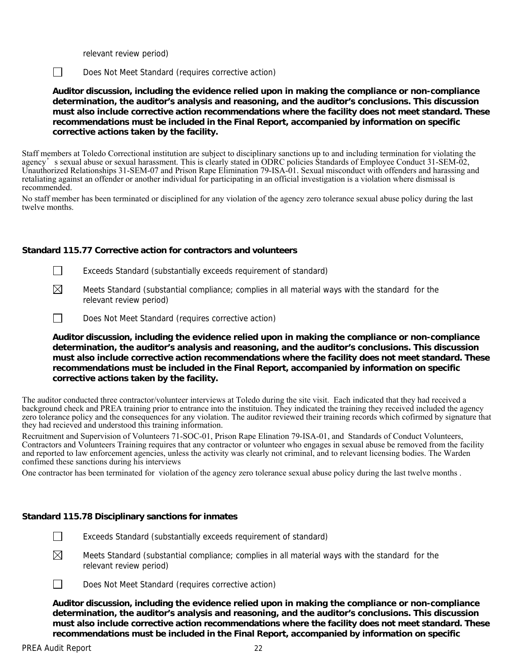relevant review period)

Does Not Meet Standard (requires corrective action)

**Auditor discussion, including the evidence relied upon in making the compliance or non-compliance determination, the auditor's analysis and reasoning, and the auditor's conclusions. This discussion must also include corrective action recommendations where the facility does not meet standard. These recommendations must be included in the Final Report, accompanied by information on specific corrective actions taken by the facility.**

Staff members at Toledo Correctional institution are subject to disciplinary sanctions up to and including termination for violating the agency's sexual abuse or sexual harassment. This is clearly stated in ODRC policies Standards of Employee Conduct 31-SEM-02, Unauthorized Relationships 31-SEM-07 and Prison Rape Elimination 79-ISA-01. Sexual misconduct with offenders and harassing and retaliating against an offender or another individual for participating in an official investigation is a violation where dismissal is recommended.

No staff member has been terminated or disciplined for any violation of the agency zero tolerance sexual abuse policy during the last twelve months.

#### **Standard 115.77 Corrective action for contractors and volunteers**

 $\Box$  Exceeds Standard (substantially exceeds requirement of standard)

- $\boxtimes$  Meets Standard (substantial compliance; complies in all material ways with the standard for the relevant review period)
- Does Not Meet Standard (requires corrective action)

**Auditor discussion, including the evidence relied upon in making the compliance or non-compliance determination, the auditor's analysis and reasoning, and the auditor's conclusions. This discussion must also include corrective action recommendations where the facility does not meet standard. These recommendations must be included in the Final Report, accompanied by information on specific corrective actions taken by the facility.**

The auditor conducted three contractor/volunteer interviews at Toledo during the site visit. Each indicated that they had received a background check and PREA training prior to entrance into the instituion. They indicated the training they received included the agency zero tolerance policy and the consequences for any violation. The auditor reviewed their training records which cofirmed by signature that they had recieved and understood this training information.

Recruitment and Supervision of Volunteers 71-SOC-01, Prison Rape Elination 79-ISA-01, and Standards of Conduct Volunteers, Contractors and Volunteers Training requires that any contractor or volunteer who engages in sexual abuse be removed from the facility and reported to law enforcement agencies, unless the activity was clearly not criminal, and to relevant licensing bodies. The Warden confimed these sanctions during his interviews

One contractor has been terminated for violation of the agency zero tolerance sexual abuse policy during the last twelve months .

#### **Standard 115.78 Disciplinary sanctions for inmates**

Exceeds Standard (substantially exceeds requirement of standard)

 $\boxtimes$  Meets Standard (substantial compliance; complies in all material ways with the standard for the relevant review period)



 $\Box$  Does Not Meet Standard (requires corrective action)

**Auditor discussion, including the evidence relied upon in making the compliance or non-compliance determination, the auditor's analysis and reasoning, and the auditor's conclusions. This discussion must also include corrective action recommendations where the facility does not meet standard. These recommendations must be included in the Final Report, accompanied by information on specific**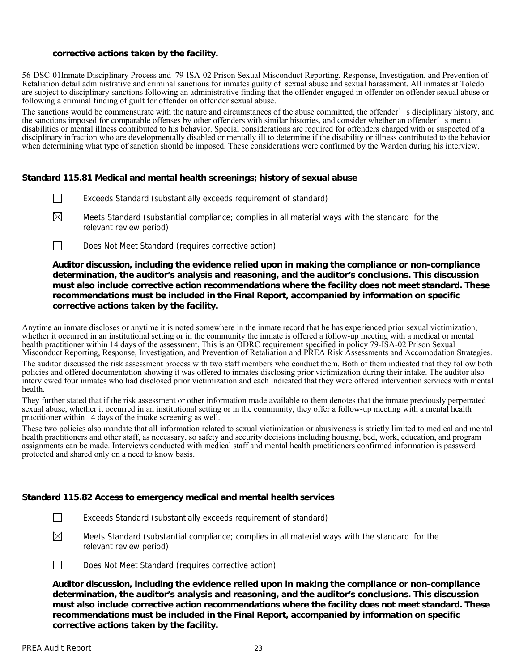### **corrective actions taken by the facility.**

56-DSC-01Inmate Disciplinary Process and 79-ISA-02 Prison Sexual Misconduct Reporting, Response, Investigation, and Prevention of Retaliation detail administrative and criminal sanctions for inmates guilty of sexual abuse and sexual harassment. All inmates at Toledo are subject to disciplinary sanctions following an administrative finding that the offender engaged in offender on offender sexual abuse or following a criminal finding of guilt for offender on offender sexual abuse.

The sanctions would be commensurate with the nature and circumstances of the abuse committed, the offender's disciplinary history, and the sanctions in each of comparable offenses by other offenders with similar histories, and consider whether an offender's mental disabilities or mental illness contributed to his behavior. Special considerations are required for offenders charged with or suspected of a disciplinary infraction who are developmentally disabled or mentally ill to determine if the disability or illness contributed to the behavior when determining what type of sanction should be imposed. These considerations were confirmed by the Warden during his interview.

## **Standard 115.81 Medical and mental health screenings; history of sexual abuse**

- Exceeds Standard (substantially exceeds requirement of standard)
- $\boxtimes$  Meets Standard (substantial compliance; complies in all material ways with the standard for the relevant review period)
- Does Not Meet Standard (requires corrective action)

## **Auditor discussion, including the evidence relied upon in making the compliance or non-compliance determination, the auditor's analysis and reasoning, and the auditor's conclusions. This discussion must also include corrective action recommendations where the facility does not meet standard. These recommendations must be included in the Final Report, accompanied by information on specific corrective actions taken by the facility.**

Anytime an inmate discloses or anytime it is noted somewhere in the inmate record that he has experienced prior sexual victimization, whether it occurred in an institutional setting or in the community the inmate is offered a follow-up meeting with a medical or mental health practitioner within 14 days of the assessment. This is an ODRC requirement specified in policy 79-ISA-02 Prison Sexual Misconduct Reporting, Response, Investigation, and Prevention of Retaliation and PREA Risk Assessments and Accomodation Strategies.

The auditor discussed the risk assessment process with two staff members who conduct them. Both of them indicated that they follow both policies and offered documentation showing it was offered to inmates disclosing prior victimization during their intake. The auditor also interviewed four inmates who had disclosed prior victimization and each indicated that they were offered intervention services with mental health.

They further stated that if the risk assessment or other information made available to them denotes that the inmate previously perpetrated sexual abuse, whether it occurred in an institutional setting or in the community, they offer a follow-up meeting with a mental health practitioner within 14 days of the intake screening as well.

These two policies also mandate that all information related to sexual victimization or abusiveness is strictly limited to medical and mental health practitioners and other staff, as necessary, so safety and security decisions including housing, bed, work, education, and program assignments can be made. Interviews conducted with medical staff and mental health practitioners confirmed information is password protected and shared only on a need to know basis.

#### **Standard 115.82 Access to emergency medical and mental health services**

- Exceeds Standard (substantially exceeds requirement of standard)
- $\boxtimes$  Meets Standard (substantial compliance; complies in all material ways with the standard for the relevant review period)

Does Not Meet Standard (requires corrective action)

**Auditor discussion, including the evidence relied upon in making the compliance or non-compliance determination, the auditor's analysis and reasoning, and the auditor's conclusions. This discussion must also include corrective action recommendations where the facility does not meet standard. These recommendations must be included in the Final Report, accompanied by information on specific corrective actions taken by the facility.**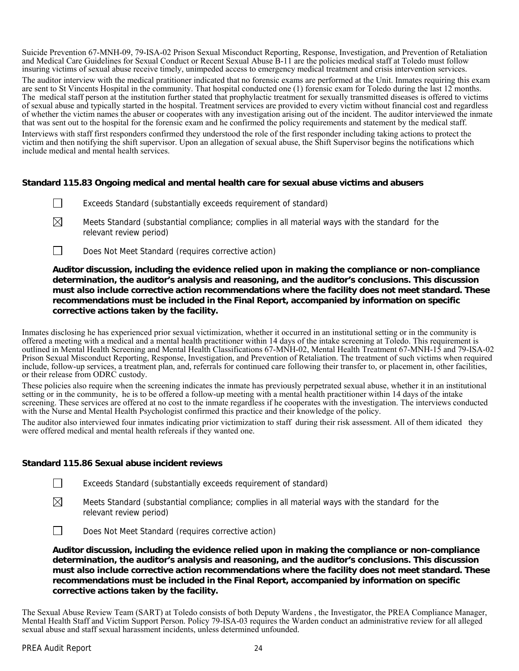Suicide Prevention 67-MNH-09, 79-ISA-02 Prison Sexual Misconduct Reporting, Response, Investigation, and Prevention of Retaliation and Medical Care Guidelines for Sexual Conduct or Recent Sexual Abuse B-11 are the policies medical staff at Toledo must follow insuring victims of sexual abuse receive timely, unimpeded access to emergency medical treatment and crisis intervention services.

The auditor interview with the medical pratitioner indicated that no forensic exams are performed at the Unit. Inmates requiring this exam are sent to St Vincents Hospital in the community. That hospital conducted one (1) forensic exam for Toledo during the last 12 months. The medical staff person at the institution further stated that prophylactic treatment for sexually transmitted diseases is offered to victims of sexual abuse and typically started in the hospital. Treatment services are provided to every victim without financial cost and regardless of whether the victim names the abuser or cooperates with any investigation arising out of the incident. The auditor interviewed the inmate that was sent out to the hospital for the forensic exam and he confirmed the policy requirements and statement by the medical staff.

Interviews with staff first responders confirmed they understood the role of the first responder including taking actions to protect the victim and then notifying the shift supervisor. Upon an allegation of sexual abuse, the Shift Supervisor begins the notifications which include medical and mental health services.

#### **Standard 115.83 Ongoing medical and mental health care for sexual abuse victims and abusers**

- Exceeds Standard (substantially exceeds requirement of standard)
- $\boxtimes$  Meets Standard (substantial compliance; complies in all material ways with the standard for the relevant review period)
- Does Not Meet Standard (requires corrective action)

**Auditor discussion, including the evidence relied upon in making the compliance or non-compliance determination, the auditor's analysis and reasoning, and the auditor's conclusions. This discussion must also include corrective action recommendations where the facility does not meet standard. These recommendations must be included in the Final Report, accompanied by information on specific corrective actions taken by the facility.**

Inmates disclosing he has experienced prior sexual victimization, whether it occurred in an institutional setting or in the community is offered a meeting with a medical and a mental health practitioner within 14 days of the intake screening at Toledo. This requirement is outlined in Mental Health Screening and Mental Health Classifications 67-MNH-02, Mental Health Treatment 67-MNH-15 and 79-ISA-02 Prison Sexual Misconduct Reporting, Response, Investigation, and Prevention of Retaliation. The treatment of such victims when required include, follow-up services, a treatment plan, and, referrals for continued care following their transfer to, or placement in, other facilities, or their release from ODRC custody.

These policies also require when the screening indicates the inmate has previously perpetrated sexual abuse, whether it in an institutional setting or in the community, he is to be offered a follow-up meeting with a mental health practitioner within 14 days of the intake screening. These services are offered at no cost to the inmate regardless if he cooperates with the investigation. The interviews conducted with the Nurse and Mental Health Psychologist confirmed this practice and their knowledge of the policy.

The auditor also interviewed four inmates indicating prior victimization to staff during their risk assessment. All of them idicated they were offered medical and mental health refereals if they wanted one.

#### **Standard 115.86 Sexual abuse incident reviews**

- Exceeds Standard (substantially exceeds requirement of standard)
- $\boxtimes$  Meets Standard (substantial compliance; complies in all material ways with the standard for the relevant review period)
- Does Not Meet Standard (requires corrective action)

**Auditor discussion, including the evidence relied upon in making the compliance or non-compliance determination, the auditor's analysis and reasoning, and the auditor's conclusions. This discussion must also include corrective action recommendations where the facility does not meet standard. These recommendations must be included in the Final Report, accompanied by information on specific corrective actions taken by the facility.**

The Sexual Abuse Review Team (SART) at Toledo consists of both Deputy Wardens , the Investigator, the PREA Compliance Manager, Mental Health Staff and Victim Support Person. Policy 79-ISA-03 requires the Warden conduct an administrative review for all alleged sexual abuse and staff sexual harassment incidents, unless determined unfounded.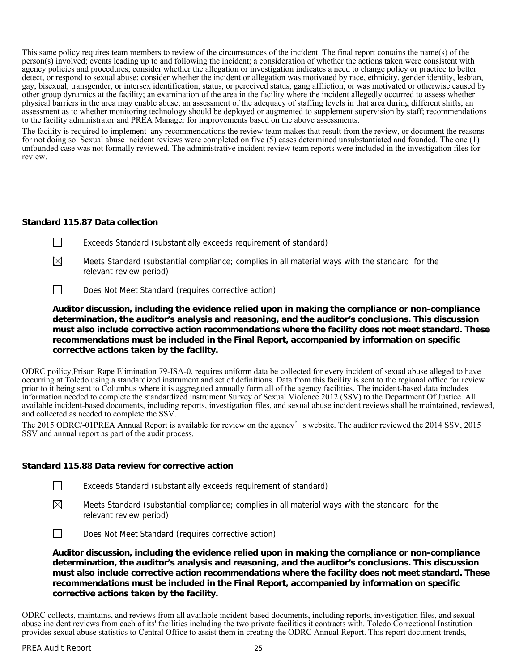This same policy requires team members to review of the circumstances of the incident. The final report contains the name(s) of the person(s) involved; events leading up to and following the incident; a consideration of whether the actions taken were consistent with agency policies and procedures; consider whether the allegation or investigation indicates a need to change policy or practice to better detect, or respond to sexual abuse; consider whether the incident or allegation was motivated by race, ethnicity, gender identity, lesbian, gay, bisexual, transgender, or intersex identification, status, or perceived status, gang affliction, or was motivated or otherwise caused by other group dynamics at the facility; an examination of the area in the facility where the incident allegedly occurred to assess whether physical barriers in the area may enable abuse; an assessment of the adequacy of staffing levels in that area during different shifts; an assessment as to whether monitoring technology should be deployed or augmented to supplement supervision by staff; recommendations to the facility administrator and PREA Manager for improvements based on the above assessments.

The facility is required to implement any recommendations the review team makes that result from the review, or document the reasons for not doing so. Sexual abuse incident reviews were completed on five (5) cases determined unsubstantiated and founded. The one (1) unfounded case was not formally reviewed. The administrative incident review team reports were included in the investigation files for review.

#### **Standard 115.87 Data collection**

- Exceeds Standard (substantially exceeds requirement of standard)
- 
- $\boxtimes$  Meets Standard (substantial compliance; complies in all material ways with the standard for the relevant review period)
- Does Not Meet Standard (requires corrective action)

**Auditor discussion, including the evidence relied upon in making the compliance or non-compliance determination, the auditor's analysis and reasoning, and the auditor's conclusions. This discussion must also include corrective action recommendations where the facility does not meet standard. These recommendations must be included in the Final Report, accompanied by information on specific corrective actions taken by the facility.**

ODRC poilicy,Prison Rape Elimination 79-ISA-0, requires uniform data be collected for every incident of sexual abuse alleged to have occurring at Toledo using a standardized instrument and set of definitions. Data from this facility is sent to the regional office for review prior to it being sent to Columbus where it is aggregated annually form all of the agency facilities. The incident-based data includes information needed to complete the standardized instrument Survey of Sexual Violence 2012 (SSV) to the Department Of Justice. All available incident-based documents, including reports, investigation files, and sexual abuse incident reviews shall be maintained, reviewed, and collected as needed to complete the SSV.

The 2015 ODRC/-01PREA Annual Report is available for review on the agency's website. The auditor reviewed the 2014 SSV, 2015 SSV and annual report as part of the audit process.

# **Standard 115.88 Data review for corrective action**

- $\Box$  Exceeds Standard (substantially exceeds requirement of standard)
- $\boxtimes$  Meets Standard (substantial compliance; complies in all material ways with the standard for the relevant review period)
- Does Not Meet Standard (requires corrective action)

**Auditor discussion, including the evidence relied upon in making the compliance or non-compliance determination, the auditor's analysis and reasoning, and the auditor's conclusions. This discussion must also include corrective action recommendations where the facility does not meet standard. These recommendations must be included in the Final Report, accompanied by information on specific corrective actions taken by the facility.**

ODRC collects, maintains, and reviews from all available incident-based documents, including reports, investigation files, and sexual abuse incident reviews from each of its' facilities including the two private facilities it contracts with. Toledo Correctional Institution provides sexual abuse statistics to Central Office to assist them in creating the ODRC Annual Report. This report document trends,